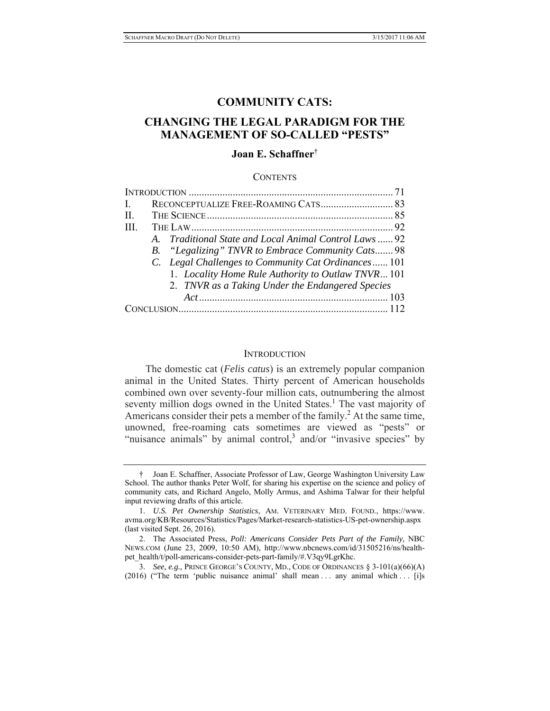# **COMMUNITY CATS:**

# **CHANGING THE LEGAL PARADIGM FOR THE MANAGEMENT OF SO-CALLED "PESTS"**

# **Joan E. Schaffner**†

#### **CONTENTS**

| $\mathbf{L}$ |  |                                                        |  |
|--------------|--|--------------------------------------------------------|--|
| II.          |  |                                                        |  |
| III.         |  |                                                        |  |
|              |  | A. Traditional State and Local Animal Control Laws  92 |  |
|              |  | B. "Legalizing" TNVR to Embrace Community Cats 98      |  |
|              |  | C. Legal Challenges to Community Cat Ordinances 101    |  |
|              |  | 1. Locality Home Rule Authority to Outlaw TNVR 101     |  |
|              |  | 2. TNVR as a Taking Under the Endangered Species       |  |
|              |  |                                                        |  |
|              |  |                                                        |  |

#### **INTRODUCTION**

The domestic cat (*Felis catus*) is an extremely popular companion animal in the United States. Thirty percent of American households combined own over seventy-four million cats, outnumbering the almost seventy million dogs owned in the United States.<sup>1</sup> The vast majority of Americans consider their pets a member of the family.<sup>2</sup> At the same time, unowned, free-roaming cats sometimes are viewed as "pests" or "nuisance animals" by animal control,<sup>3</sup> and/or "invasive species" by

<sup>†</sup> Joan E. Schaffner, Associate Professor of Law, George Washington University Law School. The author thanks Peter Wolf, for sharing his expertise on the science and policy of community cats, and Richard Angelo, Molly Armus, and Ashima Talwar for their helpful input reviewing drafts of this article.

<sup>1.</sup> *U.S. Pet Ownership Statistics*, AM. VETERINARY MED. FOUND., https://www. avma.org/KB/Resources/Statistics/Pages/Market-research-statistics-US-pet-ownership.aspx (last visited Sept. 26, 2016).

<sup>2.</sup> The Associated Press, *Poll: Americans Consider Pets Part of the Family*, NBC NEWS.COM (June 23, 2009, 10:50 AM), http://www.nbcnews.com/id/31505216/ns/healthpet\_health/t/poll-americans-consider-pets-part-family/#.V3qy9LgrKhc.

<sup>3.</sup> *See, e.g.*, PRINCE GEORGE'S COUNTY, MD., CODE OF ORDINANCES § 3-101(a)(66)(A)  $(2016)$  ("The term 'public nuisance animal' shall mean ... any animal which ... [i]s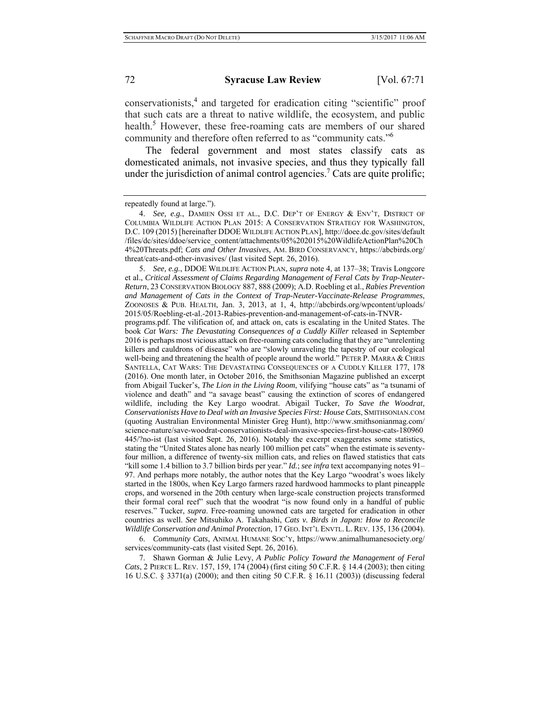conservationists,<sup>4</sup> and targeted for eradication citing "scientific" proof that such cats are a threat to native wildlife, the ecosystem, and public health.<sup>5</sup> However, these free-roaming cats are members of our shared community and therefore often referred to as "community cats."6

The federal government and most states classify cats as domesticated animals, not invasive species, and thus they typically fall under the jurisdiction of animal control agencies.<sup>7</sup> Cats are quite prolific;

repeatedly found at large.").

5. *See, e.g.*, DDOE WILDLIFE ACTION PLAN, *supra* note 4, at 137–38; Travis Longcore et al., *Critical Assessment of Claims Regarding Management of Feral Cats by Trap-Neuter-Return*, 23 CONSERVATION BIOLOGY 887, 888 (2009); A.D. Roebling et al., *Rabies Prevention and Management of Cats in the Context of Trap-Neuter-Vaccinate-Release Programmes*, ZOONOSES & PUB. HEALTH, Jan. 3, 2013, at 1, 4, http://abcbirds.org/wpcontent/uploads/ 2015/05/Roebling-et-al.-2013-Rabies-prevention-and-management-of-cats-in-TNVR-

programs.pdf. The vilification of, and attack on, cats is escalating in the United States. The book *Cat Wars: The Devastating Consequences of a Cuddly Killer* released in September 2016 is perhaps most vicious attack on free-roaming cats concluding that they are "unrelenting killers and cauldrons of disease" who are "slowly unraveling the tapestry of our ecological well-being and threatening the health of people around the world." PETER P. MARRA & CHRIS SANTELLA, CAT WARS: THE DEVASTATING CONSEQUENCES OF A CUDDLY KILLER 177, 178 (2016). One month later, in October 2016, the Smithsonian Magazine published an excerpt from Abigail Tucker's, *The Lion in the Living Room*, vilifying "house cats" as "a tsunami of violence and death" and "a savage beast" causing the extinction of scores of endangered wildlife, including the Key Largo woodrat. Abigail Tucker, *To Save the Woodrat, Conservationists Have to Deal with an Invasive Species First: House Cats*, SMITHSONIAN.COM (quoting Australian Environmental Minister Greg Hunt), http://www.smithsonianmag.com/ science-nature/save-woodrat-conservationists-deal-invasive-species-first-house-cats-180960 445/?no-ist (last visited Sept. 26, 2016). Notably the excerpt exaggerates some statistics, stating the "United States alone has nearly 100 million pet cats" when the estimate is seventyfour million, a difference of twenty-six million cats, and relies on flawed statistics that cats "kill some 1.4 billion to 3.7 billion birds per year." *Id.*; *see infra* text accompanying notes 91– 97. And perhaps more notably, the author notes that the Key Largo "woodrat's woes likely started in the 1800s, when Key Largo farmers razed hardwood hammocks to plant pineapple crops, and worsened in the 20th century when large-scale construction projects transformed their formal coral reef" such that the woodrat "is now found only in a handful of public reserves." Tucker, *supra*. Free-roaming unowned cats are targeted for eradication in other countries as well. *See* Mitsuhiko A. Takahashi, *Cats v. Birds in Japan: How to Reconcile Wildlife Conservation and Animal Protection*, 17 GEO. INT'L ENVTL. L. REV. 135, 136 (2004).

6. *Community Cats*, ANIMAL HUMANE SOC'Y, https://www.animalhumanesociety.org/ services/community-cats (last visited Sept. 26, 2016).

7. Shawn Gorman & Julie Levy, *A Public Policy Toward the Management of Feral Cats*, 2 PIERCE L. REV. 157, 159, 174 (2004) (first citing 50 C.F.R. § 14.4 (2003); then citing 16 U.S.C. § 3371(a) (2000); and then citing 50 C.F.R. § 16.11 (2003)) (discussing federal

<sup>4.</sup> *See, e.g.*, DAMIEN OSSI ET AL., D.C. DEP'T OF ENERGY & ENV'T, DISTRICT OF COLUMBIA WILDLIFE ACTION PLAN 2015: A CONSERVATION STRATEGY FOR WASHINGTON, D.C. 109 (2015) [hereinafter DDOE WILDLIFE ACTION PLAN], http://doee.dc.gov/sites/default /files/dc/sites/ddoe/service\_content/attachments/05%202015%20WildlifeActionPlan%20Ch 4%20Threats.pdf; *Cats and Other Invasives*, AM. BIRD CONSERVANCY, https://abcbirds.org/ threat/cats-and-other-invasives/ (last visited Sept. 26, 2016).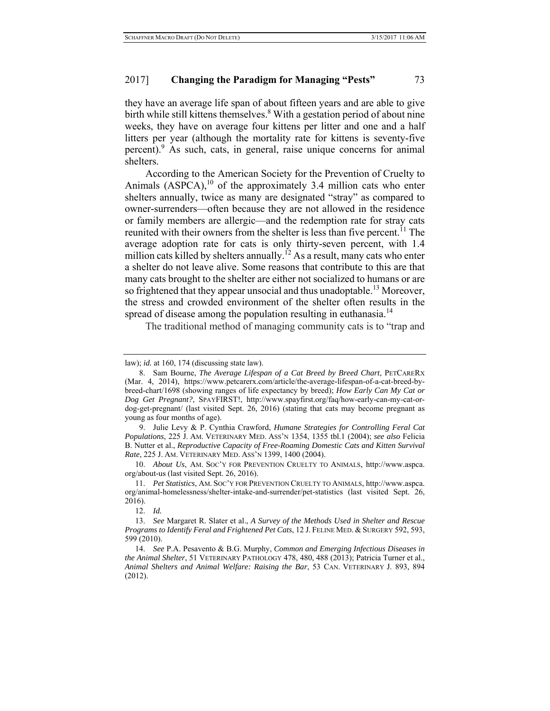they have an average life span of about fifteen years and are able to give birth while still kittens themselves.<sup>8</sup> With a gestation period of about nine weeks, they have on average four kittens per litter and one and a half litters per year (although the mortality rate for kittens is seventy-five percent).<sup>9</sup> As such, cats, in general, raise unique concerns for animal shelters.

According to the American Society for the Prevention of Cruelty to Animals  $(ASPCA)$ ,<sup>10</sup> of the approximately 3.4 million cats who enter shelters annually, twice as many are designated "stray" as compared to owner-surrenders—often because they are not allowed in the residence or family members are allergic—and the redemption rate for stray cats reunited with their owners from the shelter is less than five percent.<sup>11</sup> The average adoption rate for cats is only thirty-seven percent, with 1.4 million cats killed by shelters annually.<sup>12</sup> As a result, many cats who enter a shelter do not leave alive. Some reasons that contribute to this are that many cats brought to the shelter are either not socialized to humans or are so frightened that they appear unsocial and thus unadoptable.<sup>13</sup> Moreover, the stress and crowded environment of the shelter often results in the spread of disease among the population resulting in euthanasia.<sup>14</sup>

The traditional method of managing community cats is to "trap and

9. Julie Levy & P. Cynthia Crawford, *Humane Strategies for Controlling Feral Cat Populations*, 225 J. AM. VETERINARY MED. ASS'N 1354, 1355 tbl.1 (2004); *see also* Felicia B. Nutter et al., *Reproductive Capacity of Free-Roaming Domestic Cats and Kitten Survival Rate*, 225 J. AM. VETERINARY MED. ASS'N 1399, 1400 (2004).

10. *About Us*, AM. SOC'Y FOR PREVENTION CRUELTY TO ANIMALS, http://www.aspca. org/about-us (last visited Sept. 26, 2016).

11. *Pet Statistics*, AM. SOC'Y FOR PREVENTION CRUELTY TO ANIMALS, http://www.aspca. org/animal-homelessness/shelter-intake-and-surrender/pet-statistics (last visited Sept. 26, 2016).

12. *Id.*

13. *See* Margaret R. Slater et al., *A Survey of the Methods Used in Shelter and Rescue Programs to Identify Feral and Frightened Pet Cats*, 12 J. FELINE MED. & SURGERY 592, 593, 599 (2010).

14. *See* P.A. Pesavento & B.G. Murphy, *Common and Emerging Infectious Diseases in the Animal Shelter*, 51 VETERINARY PATHOLOGY 478, 480, 488 (2013); Patricia Turner et al., *Animal Shelters and Animal Welfare: Raising the Bar*, 53 CAN. VETERINARY J. 893, 894 (2012).

law); *id.* at 160, 174 (discussing state law).

<sup>8.</sup> Sam Bourne, *The Average Lifespan of a Cat Breed by Breed Chart*, PETCARERX (Mar. 4, 2014), https://www.petcarerx.com/article/the-average-lifespan-of-a-cat-breed-bybreed-chart/1698 (showing ranges of life expectancy by breed); *How Early Can My Cat or Dog Get Pregnant?*, SPAYFIRST!, http://www.spayfirst.org/faq/how-early-can-my-cat-ordog-get-pregnant/ (last visited Sept. 26, 2016) (stating that cats may become pregnant as young as four months of age).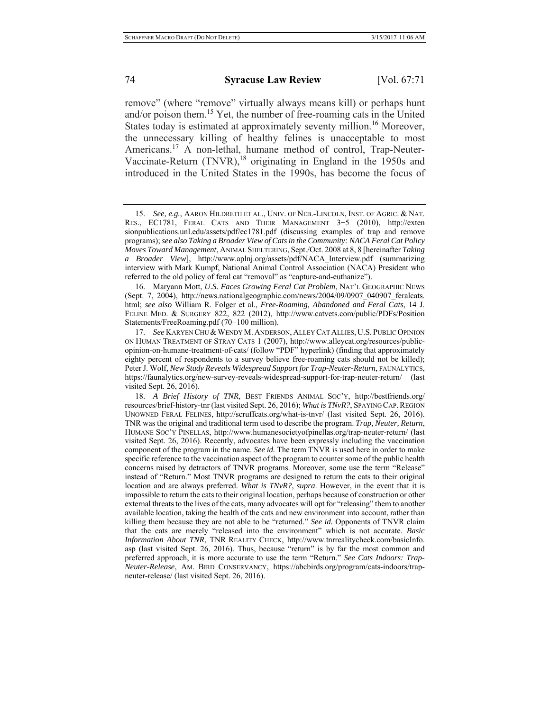remove" (where "remove" virtually always means kill) or perhaps hunt and/or poison them.15 Yet, the number of free-roaming cats in the United States today is estimated at approximately seventy million.<sup>16</sup> Moreover, the unnecessary killing of healthy felines is unacceptable to most Americans.<sup>17</sup> A non-lethal, humane method of control, Trap-Neuter-Vaccinate-Return  $(TNVR)$ ,<sup>18</sup> originating in England in the 1950s and introduced in the United States in the 1990s, has become the focus of

16. Maryann Mott, *U.S. Faces Growing Feral Cat Problem*, NAT'L GEOGRAPHIC NEWS (Sept. 7, 2004), http://news.nationalgeographic.com/news/2004/09/0907\_040907\_feralcats. html; *see also* William R. Folger et al., *Free-Roaming, Abandoned and Feral Cats*, 14 J. FELINE MED. & SURGERY 822, 822 (2012), http://www.catvets.com/public/PDFs/Position Statements/FreeRoaming.pdf (70−100 million).

17. See KARYEN CHU & WENDY M. ANDERSON, ALLEY CAT ALLIES, U.S. PUBLIC OPINION ON HUMAN TREATMENT OF STRAY CATS 1 (2007), http://www.alleycat.org/resources/publicopinion-on-humane-treatment-of-cats/ (follow "PDF" hyperlink) (finding that approximately eighty percent of respondents to a survey believe free-roaming cats should not be killed); Peter J. Wolf, *New Study Reveals Widespread Support for Trap-Neuter-Return*, FAUNALYTICS, https://faunalytics.org/new-survey-reveals-widespread-support-for-trap-neuter-return/ (last visited Sept. 26, 2016).

18. *A Brief History of TNR*, BEST FRIENDS ANIMAL SOC'Y, http://bestfriends.org/ resources/brief-history-tnr (last visited Sept. 26, 2016); *What is TNvR?*, SPAYING CAP.REGION UNOWNED FERAL FELINES, http://scruffcats.org/what-is-tnvr/ (last visited Sept. 26, 2016). TNR was the original and traditional term used to describe the program. *Trap, Neuter, Return*, HUMANE SOC'Y PINELLAS, http://www.humanesocietyofpinellas.org/trap-neuter-return/ (last visited Sept. 26, 2016). Recently, advocates have been expressly including the vaccination component of the program in the name. *See id.* The term TNVR is used here in order to make specific reference to the vaccination aspect of the program to counter some of the public health concerns raised by detractors of TNVR programs. Moreover, some use the term "Release" instead of "Return." Most TNVR programs are designed to return the cats to their original location and are always preferred. *What is TNvR?*, *supra*. However, in the event that it is impossible to return the cats to their original location, perhaps because of construction or other external threats to the lives of the cats, many advocates will opt for "releasing" them to another available location, taking the health of the cats and new environment into account, rather than killing them because they are not able to be "returned." *See id.* Opponents of TNVR claim that the cats are merely "released into the environment" which is not accurate. *Basic Information About TNR*, TNR REALITY CHECK, http://www.tnrrealitycheck.com/basicInfo. asp (last visited Sept. 26, 2016). Thus, because "return" is by far the most common and preferred approach, it is more accurate to use the term "Return." *See Cats Indoors: Trap-Neuter-Release*, AM. BIRD CONSERVANCY, https://abcbirds.org/program/cats-indoors/trapneuter-release/ (last visited Sept. 26, 2016).

<sup>15.</sup> *See, e.g.*, AARON HILDRETH ET AL., UNIV. OF NEB.-LINCOLN, INST. OF AGRIC. & NAT. RES., EC1781, FERAL CATS AND THEIR MANAGEMENT 3−5 (2010), http://exten sionpublications.unl.edu/assets/pdf/ec1781.pdf (discussing examples of trap and remove programs); *see also Taking a Broader View of Cats in the Community: NACA Feral Cat Policy Moves Toward Management*, ANIMAL SHELTERING, Sept./Oct. 2008 at 8, 8 [hereinafter *Taking a Broader View*], http://www.aplnj.org/assets/pdf/NACA\_Interview.pdf (summarizing interview with Mark Kumpf, National Animal Control Association (NACA) President who referred to the old policy of feral cat "removal" as "capture-and-euthanize").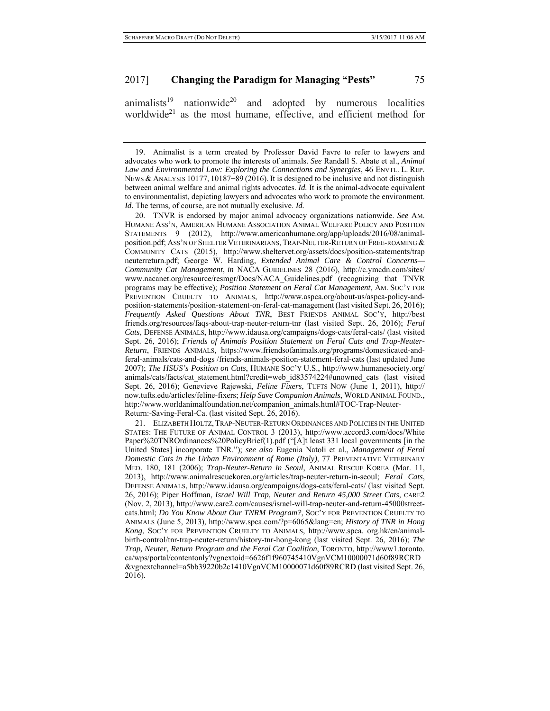$\text{animals}^{19}$  nationwide<sup>20</sup> and adopted by numerous localities worldwide<sup>21</sup> as the most humane, effective, and efficient method for

20. TNVR is endorsed by major animal advocacy organizations nationwide. *See* AM. HUMANE ASS'N, AMERICAN HUMANE ASSOCIATION ANIMAL WELFARE POLICY AND POSITION STATEMENTS 9 (2012), http://www.americanhumane.org/app/uploads/2016/08/animalposition.pdf; ASS'N OF SHELTER VETERINARIANS, TRAP-NEUTER-RETURN OF FREE-ROAMING & COMMUNITY CATS (2015), http://www.sheltervet.org/assets/docs/position-statements/trap neuterreturn.pdf; George W. Harding, *Extended Animal Care & Control Concerns— Community Cat Management*, *in* NACA GUIDELINES 28 (2016), http://c.ymcdn.com/sites/ www.nacanet.org/resource/resmgr/Docs/NACA\_Guidelines.pdf (recognizing that TNVR programs may be effective); *Position Statement on Feral Cat Management*, AM. SOC'Y FOR PREVENTION CRUELTY TO ANIMALS, http://www.aspca.org/about-us/aspca-policy-andposition-statements/position-statement-on-feral-cat-management (last visited Sept. 26, 2016); *Frequently Asked Questions About TNR*, BEST FRIENDS ANIMAL SOC'Y, http://best friends.org/resources/faqs-about-trap-neuter-return-tnr (last visited Sept. 26, 2016); *Feral Cats*, DEFENSE ANIMALS, http://www.idausa.org/campaigns/dogs-cats/feral-cats/ (last visited Sept. 26, 2016); *Friends of Animals Position Statement on Feral Cats and Trap-Neuter-Return*, FRIENDS ANIMALS, https://www.friendsofanimals.org/programs/domesticated-andferal-animals/cats-and-dogs /friends-animals-position-statement-feral-cats (last updated June 2007); *The HSUS's Position on Cats*, HUMANE SOC'Y U.S., http://www.humanesociety.org/ animals/cats/facts/cat\_statement.html?credit=web\_id83574224#unowned\_cats\_(last\_visited Sept. 26, 2016); Genevieve Rajewski, *Feline Fixers*, TUFTS NOW (June 1, 2011), http:// now.tufts.edu/articles/feline-fixers; *Help Save Companion Animals*, WORLD ANIMAL FOUND., http://www.worldanimalfoundation.net/companion\_animals.html#TOC-Trap-Neuter-Return:-Saving-Feral-Ca. (last visited Sept. 26, 2016).

21. ELIZABETH HOLTZ,TRAP-NEUTER-RETURN ORDINANCES AND POLICIES IN THE UNITED STATES: THE FUTURE OF ANIMAL CONTROL 3 (2013), http://www.accord3.com/docs/White Paper%20TNROrdinances%20PolicyBrief(1).pdf ("[A]t least 331 local governments [in the United States] incorporate TNR."); *see also* Eugenia Natoli et al., *Management of Feral Domestic Cats in the Urban Environment of Rome (Italy)*, 77 PREVENTATIVE VETERINARY MED. 180, 181 (2006); *Trap-Neuter-Return in Seoul*, ANIMAL RESCUE KOREA (Mar. 11, 2013), http://www.animalrescuekorea.org/articles/trap-neuter-return-in-seoul; *Feral Cats*, DEFENSE ANIMALS, http://www.idausa.org/campaigns/dogs-cats/feral-cats/ (last visited Sept. 26, 2016); Piper Hoffman, *Israel Will Trap, Neuter and Return 45,000 Street Cats*, CARE2 (Nov. 2, 2013), http://www.care2.com/causes/israel-will-trap-neuter-and-return-45000streetcats.html; *Do You Know About Our TNRM Program?*, SOC'Y FOR PREVENTION CRUELTY TO ANIMALS (June 5, 2013), http://www.spca.com/?p=6065&lang=en; *History of TNR in Hong Kong*, SOC'Y FOR PREVENTION CRUELTY TO ANIMALS, http://www.spca. org.hk/en/animalbirth-control/tnr-trap-neuter-return/history-tnr-hong-kong (last visited Sept. 26, 2016); *The Trap, Neuter, Return Program and the Feral Cat Coalition*, TORONTO, http://www1.toronto. ca/wps/portal/contentonly?vgnextoid=6626f1f960745410VgnVCM10000071d60f89RCRD &vgnextchannel=a5bb39220b2c1410VgnVCM10000071d60f89RCRD (last visited Sept. 26, 2016).

<sup>19.</sup> Animalist is a term created by Professor David Favre to refer to lawyers and advocates who work to promote the interests of animals. *See* Randall S. Abate et al., *Animal Law and Environmental Law: Exploring the Connections and Synergies*, 46 ENVTL. L. REP. NEWS & ANALYSIS 10177, 10187–89 (2016). It is designed to be inclusive and not distinguish between animal welfare and animal rights advocates. *Id.* It is the animal-advocate equivalent to environmentalist, depicting lawyers and advocates who work to promote the environment. *Id.* The terms, of course, are not mutually exclusive. *Id.*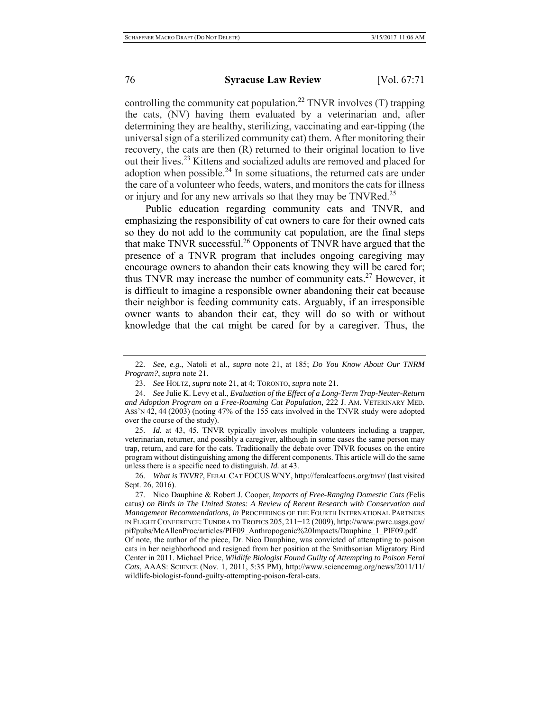controlling the community cat population.<sup>22</sup> TNVR involves  $(T)$  trapping the cats, (NV) having them evaluated by a veterinarian and, after determining they are healthy, sterilizing, vaccinating and ear-tipping (the universal sign of a sterilized community cat) them. After monitoring their recovery, the cats are then (R) returned to their original location to live out their lives.23 Kittens and socialized adults are removed and placed for adoption when possible. $^{24}$  In some situations, the returned cats are under the care of a volunteer who feeds, waters, and monitors the cats for illness or injury and for any new arrivals so that they may be TNVRed.<sup>25</sup>

Public education regarding community cats and TNVR, and emphasizing the responsibility of cat owners to care for their owned cats so they do not add to the community cat population, are the final steps that make TNVR successful.26 Opponents of TNVR have argued that the presence of a TNVR program that includes ongoing caregiving may encourage owners to abandon their cats knowing they will be cared for; thus TNVR may increase the number of community cats.27 However, it is difficult to imagine a responsible owner abandoning their cat because their neighbor is feeding community cats. Arguably, if an irresponsible owner wants to abandon their cat, they will do so with or without knowledge that the cat might be cared for by a caregiver. Thus, the

25. *Id.* at 43, 45. TNVR typically involves multiple volunteers including a trapper, veterinarian, returner, and possibly a caregiver, although in some cases the same person may trap, return, and care for the cats. Traditionally the debate over TNVR focuses on the entire program without distinguishing among the different components. This article will do the same unless there is a specific need to distinguish. *Id.* at 43.

26. *What is TNVR?*, FERAL CAT FOCUS WNY, http://feralcatfocus.org/tnvr/ (last visited Sept. 26, 2016).

27. Nico Dauphine & Robert J. Cooper, *Impacts of Free-Ranging Domestic Cats (*Felis catus*) on Birds in The United States: A Review of Recent Research with Conservation and Management Recommendations*, *in* PROCEEDINGS OF THE FOURTH INTERNATIONAL PARTNERS IN FLIGHT CONFERENCE: TUNDRA TO TROPICS 205, 211−12 (2009), http://www.pwrc.usgs.gov/ pif/pubs/McAllenProc/articles/PIF09\_Anthropogenic%20Impacts/Dauphine\_1\_PIF09.pdf. Of note, the author of the piece, Dr. Nico Dauphine, was convicted of attempting to poison cats in her neighborhood and resigned from her position at the Smithsonian Migratory Bird Center in 2011. Michael Price, *Wildlife Biologist Found Guilty of Attempting to Poison Feral Cats*, AAAS: SCIENCE (Nov. 1, 2011, 5:35 PM), http://www.sciencemag.org/news/2011/11/ wildlife-biologist-found-guilty-attempting-poison-feral-cats.

<sup>22.</sup> *See, e.g.*, Natoli et al., *supra* note 21, at 185; *Do You Know About Our TNRM Program?*, *supra* note 21.

<sup>23.</sup> *See* HOLTZ, *supra* note 21, at 4; TORONTO, *supra* note 21.

<sup>24.</sup> *See* Julie K. Levy et al., *Evaluation of the Effect of a Long-Term Trap-Neuter-Return and Adoption Program on a Free-Roaming Cat Population*, 222 J. AM. VETERINARY MED. ASS'N 42, 44 (2003) (noting 47% of the 155 cats involved in the TNVR study were adopted over the course of the study).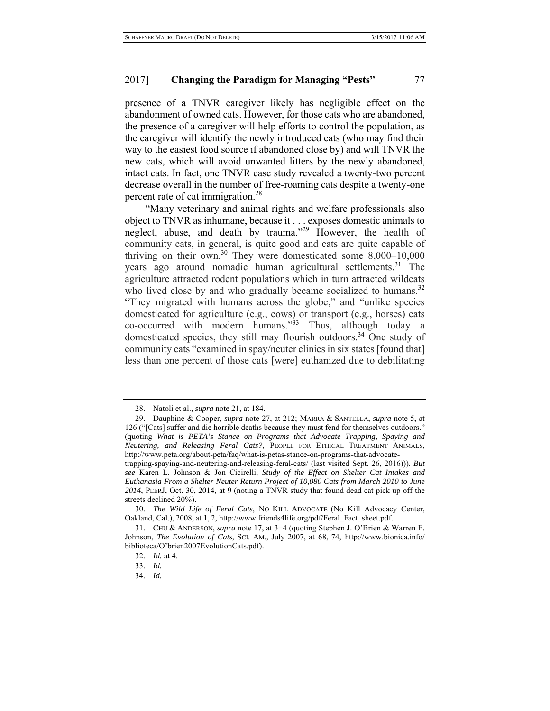presence of a TNVR caregiver likely has negligible effect on the abandonment of owned cats. However, for those cats who are abandoned, the presence of a caregiver will help efforts to control the population, as the caregiver will identify the newly introduced cats (who may find their way to the easiest food source if abandoned close by) and will TNVR the new cats, which will avoid unwanted litters by the newly abandoned, intact cats. In fact, one TNVR case study revealed a twenty-two percent decrease overall in the number of free-roaming cats despite a twenty-one percent rate of cat immigration.<sup>28</sup>

"Many veterinary and animal rights and welfare professionals also object to TNVR as inhumane, because it . . . exposes domestic animals to neglect, abuse, and death by trauma."<sup>29</sup> However, the health of community cats, in general, is quite good and cats are quite capable of thriving on their own.<sup>30</sup> They were domesticated some  $8,000-10,000$ years ago around nomadic human agricultural settlements.<sup>31</sup> The agriculture attracted rodent populations which in turn attracted wildcats who lived close by and who gradually became socialized to humans.<sup>32</sup> "They migrated with humans across the globe," and "unlike species domesticated for agriculture (e.g., cows) or transport (e.g., horses) cats co-occurred with modern humans."<sup>33</sup> Thus, although today a domesticated species, they still may flourish outdoors.<sup>34</sup> One study of community cats "examined in spay/neuter clinics in six states [found that] less than one percent of those cats [were] euthanized due to debilitating

<sup>28.</sup> Natoli et al., *supra* note 21, at 184.

<sup>29.</sup> Dauphine & Cooper, *supra* note 27, at 212; MARRA & SANTELLA, *supra* note 5, at 126 ("[Cats] suffer and die horrible deaths because they must fend for themselves outdoors." (quoting *What is PETA's Stance on Programs that Advocate Trapping, Spaying and Neutering, and Releasing Feral Cats?*, PEOPLE FOR ETHICAL TREATMENT ANIMALS, http://www.peta.org/about-peta/faq/what-is-petas-stance-on-programs-that-advocate-

trapping-spaying-and-neutering-and-releasing-feral-cats/ (last visited Sept. 26, 2016))). *But see* Karen L. Johnson & Jon Cicirelli, *Study of the Effect on Shelter Cat Intakes and Euthanasia From a Shelter Neuter Return Project of 10,080 Cats from March 2010 to June 2014*, PEERJ, Oct. 30, 2014, at 9 (noting a TNVR study that found dead cat pick up off the streets declined 20%).

<sup>30.</sup> *The Wild Life of Feral Cats*, NO KILL ADVOCATE (No Kill Advocacy Center, Oakland, Cal.), 2008, at 1, 2, http://www.friends4life.org/pdf/Feral\_Fact\_sheet.pdf.

<sup>31.</sup> CHU & ANDERSON, *supra* note 17, at 3−4 (quoting Stephen J. O'Brien & Warren E. Johnson, *The Evolution of Cats*, SCI. AM., July 2007, at 68, 74, http://www.bionica.info/ biblioteca/O'brien2007EvolutionCats.pdf).

<sup>32.</sup> *Id.* at 4.

<sup>33.</sup> *Id.*

<sup>34.</sup> *Id.*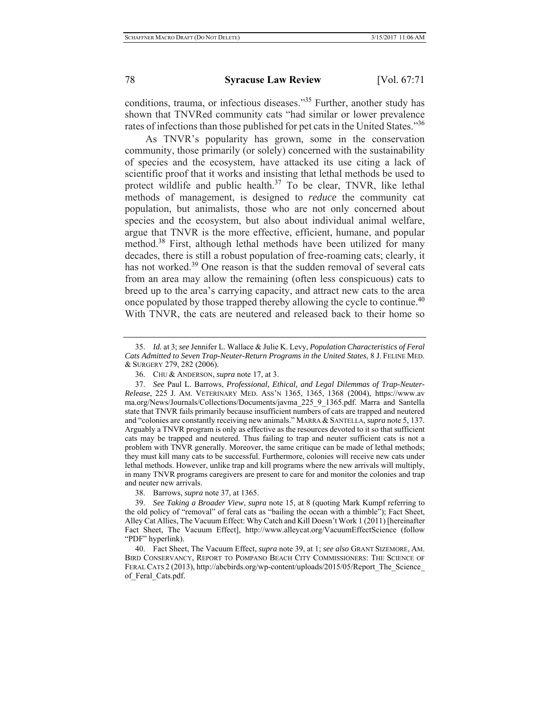conditions, trauma, or infectious diseases."35 Further, another study has shown that TNVRed community cats "had similar or lower prevalence rates of infections than those published for pet cats in the United States."36

As TNVR's popularity has grown, some in the conservation community, those primarily (or solely) concerned with the sustainability of species and the ecosystem, have attacked its use citing a lack of scientific proof that it works and insisting that lethal methods be used to protect wildlife and public health.<sup>37</sup> To be clear, TNVR, like lethal methods of management, is designed to *reduce* the community cat population, but animalists, those who are not only concerned about species and the ecosystem, but also about individual animal welfare, argue that TNVR is the more effective, efficient, humane, and popular method.38 First, although lethal methods have been utilized for many decades, there is still a robust population of free-roaming cats; clearly, it has not worked.<sup>39</sup> One reason is that the sudden removal of several cats from an area may allow the remaining (often less conspicuous) cats to breed up to the area's carrying capacity, and attract new cats to the area once populated by those trapped thereby allowing the cycle to continue.40 With TNVR, the cats are neutered and released back to their home so

<sup>35.</sup> *Id.* at 3; *see* Jennifer L. Wallace & Julie K. Levy, *Population Characteristics of Feral Cats Admitted to Seven Trap-Neuter-Return Programs in the United States*, 8 J. FELINE MED. & SURGERY 279, 282 (2006).

<sup>36.</sup> CHU & ANDERSON, *supra* note 17, at 3.

<sup>37.</sup> *See* Paul L. Barrows, *Professional, Ethical, and Legal Dilemmas of Trap-Neuter-Release*, 225 J. AM. VETERINARY MED. ASS'N 1365, 1365, 1368 (2004), https://www.av ma.org/News/Journals/Collections/Documents/javma\_225\_9\_1365.pdf. Marra and Santella state that TNVR fails primarily because insufficient numbers of cats are trapped and neutered and "colonies are constantly receiving new animals." MARRA & SANTELLA, *supra* note 5, 137. Arguably a TNVR program is only as effective as the resources devoted to it so that sufficient cats may be trapped and neutered. Thus failing to trap and neuter sufficient cats is not a problem with TNVR generally. Moreover, the same critique can be made of lethal methods; they must kill many cats to be successful. Furthermore, colonies will receive new cats under lethal methods. However, unlike trap and kill programs where the new arrivals will multiply, in many TNVR programs caregivers are present to care for and monitor the colonies and trap and neuter new arrivals.

<sup>38.</sup> Barrows, *supra* note 37, at 1365.

<sup>39.</sup> *See Taking a Broader View*, *supra* note 15, at 8 (quoting Mark Kumpf referring to the old policy of "removal" of feral cats as "bailing the ocean with a thimble"); Fact Sheet, Alley Cat Allies, The Vacuum Effect: Why Catch and Kill Doesn't Work 1 (2011) [hereinafter Fact Sheet, The Vacuum Effect], http://www.alleycat.org/VacuumEffectScience (follow "PDF" hyperlink).

<sup>40.</sup> Fact Sheet, The Vacuum Effect, *supra* note 39, at 1; *see also* GRANT SIZEMORE, AM. BIRD CONSERVANCY, REPORT TO POMPANO BEACH CITY COMMISSIONERS: THE SCIENCE OF FERAL CATS 2 (2013), http://abcbirds.org/wp-content/uploads/2015/05/Report\_The\_Science\_ of Feral Cats.pdf.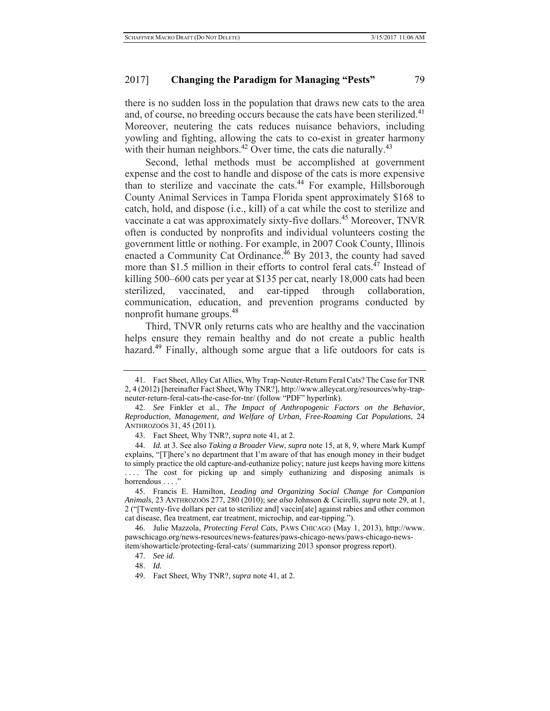## 2017] **Changing the Paradigm for Managing "Pests"** 79

there is no sudden loss in the population that draws new cats to the area and, of course, no breeding occurs because the cats have been sterilized.<sup>41</sup> Moreover, neutering the cats reduces nuisance behaviors, including yowling and fighting, allowing the cats to co-exist in greater harmony with their human neighbors.<sup>42</sup> Over time, the cats die naturally.<sup>43</sup>

Second, lethal methods must be accomplished at government expense and the cost to handle and dispose of the cats is more expensive than to sterilize and vaccinate the cats.<sup>44</sup> For example, Hillsborough County Animal Services in Tampa Florida spent approximately \$168 to catch, hold, and dispose (i.e., kill) of a cat while the cost to sterilize and vaccinate a cat was approximately sixty-five dollars.<sup>45</sup> Moreover, TNVR often is conducted by nonprofits and individual volunteers costing the government little or nothing. For example, in 2007 Cook County, Illinois enacted a Community Cat Ordinance. $^{46}$  By 2013, the county had saved more than \$1.5 million in their efforts to control feral cats. $47$  Instead of killing 500–600 cats per year at \$135 per cat, nearly 18,000 cats had been sterilized, vaccinated, and ear-tipped through collaboration, communication, education, and prevention programs conducted by nonprofit humane groups.48

Third, TNVR only returns cats who are healthy and the vaccination helps ensure they remain healthy and do not create a public health hazard.<sup>49</sup> Finally, although some argue that a life outdoors for cats is

<sup>41.</sup> Fact Sheet, Alley Cat Allies, Why Trap-Neuter-Return Feral Cats? The Case for TNR 2, 4 (2012) [hereinafter Fact Sheet, Why TNR?], http://www.alleycat.org/resources/why-trapneuter-return-feral-cats-the-case-for-tnr/ (follow "PDF" hyperlink).

<sup>42.</sup> *See* Finkler et al., *The Impact of Anthropogenic Factors on the Behavior, Reproduction, Management, and Welfare of Urban, Free-Roaming Cat Populations*, 24 ANTHROZOÖS 31, 45 (2011).

<sup>43.</sup> Fact Sheet, Why TNR?, *supra* note 41, at 2.

<sup>44.</sup> *Id.* at 3. See also *Taking a Broader View*, *supra* note 15, at 8, 9, where Mark Kumpf explains, "[T]here's no department that I'm aware of that has enough money in their budget to simply practice the old capture-and-euthanize policy; nature just keeps having more kittens .... The cost for picking up and simply euthanizing and disposing animals is horrendous . . . ."

<sup>45.</sup> Francis E. Hamilton, *Leading and Organizing Social Change for Companion Animals*, 23 ANTHROZOÖS 277, 280 (2010); s*ee also* Johnson & Cicirelli, *supra* note 29, at 1, 2 ("[Twenty-five dollars per cat to sterilize and] vaccin[ate] against rabies and other common cat disease, flea treatment, ear treatment, microchip, and ear-tipping.").

<sup>46.</sup> Julie Mazzola, *Protecting Feral Cats*, PAWS CHICAGO (May 1, 2013), http://www. pawschicago.org/news-resources/news-features/paws-chicago-news/paws-chicago-newsitem/showarticle/protecting-feral-cats/ (summarizing 2013 sponsor progress report).

<sup>47.</sup> *See id.*

<sup>48.</sup> *Id.*

<sup>49.</sup> Fact Sheet, Why TNR?, *supra* note 41, at 2.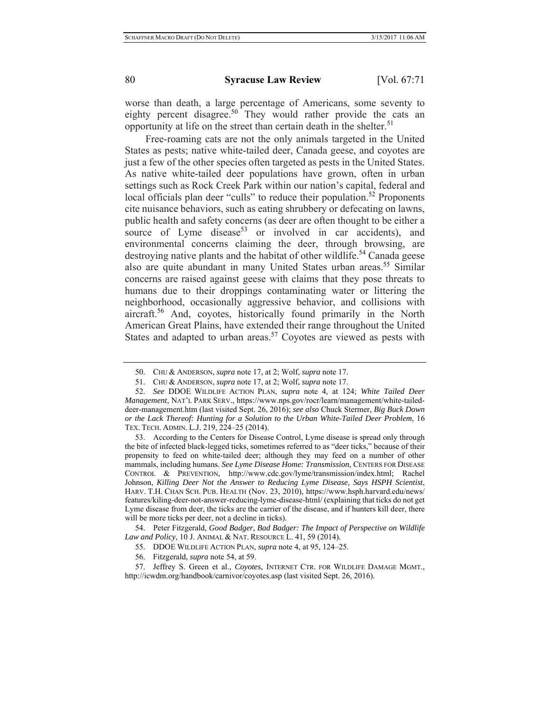worse than death, a large percentage of Americans, some seventy to eighty percent disagree.<sup>50</sup> They would rather provide the cats an opportunity at life on the street than certain death in the shelter.<sup>51</sup>

Free-roaming cats are not the only animals targeted in the United States as pests; native white-tailed deer, Canada geese, and coyotes are just a few of the other species often targeted as pests in the United States. As native white-tailed deer populations have grown, often in urban settings such as Rock Creek Park within our nation's capital, federal and local officials plan deer "culls" to reduce their population.<sup>52</sup> Proponents cite nuisance behaviors, such as eating shrubbery or defecating on lawns, public health and safety concerns (as deer are often thought to be either a source of Lyme disease<sup>53</sup> or involved in car accidents), and environmental concerns claiming the deer, through browsing, are destroying native plants and the habitat of other wildlife.<sup>54</sup> Canada geese also are quite abundant in many United States urban areas.<sup>55</sup> Similar concerns are raised against geese with claims that they pose threats to humans due to their droppings contaminating water or littering the neighborhood, occasionally aggressive behavior, and collisions with aircraft.56 And, coyotes, historically found primarily in the North American Great Plains, have extended their range throughout the United States and adapted to urban areas.<sup>57</sup> Coyotes are viewed as pests with

53. According to the Centers for Disease Control, Lyme disease is spread only through the bite of infected black-legged ticks, sometimes referred to as "deer ticks," because of their propensity to feed on white-tailed deer; although they may feed on a number of other mammals, including humans. *See Lyme Disease Home: Transmission*, CENTERS FOR DISEASE CONTROL & PREVENTION, http://www.cdc.gov/lyme/transmission/index.html; Rachel Johnson, *Killing Deer Not the Answer to Reducing Lyme Disease, Says HSPH Scientist*, HARV. T.H. CHAN SCH. PUB. HEALTH (Nov. 23, 2010), https://www.hsph.harvard.edu/news/ features/kiling-deer-not-answer-reducing-lyme-disease-html/ (explaining that ticks do not get Lyme disease from deer, the ticks are the carrier of the disease, and if hunters kill deer, there will be more ticks per deer, not a decline in ticks).

54. Peter Fitzgerald, *Good Badger, Bad Badger: The Impact of Perspective on Wildlife Law and Policy*, 10 J. ANIMAL & NAT. RESOURCE L. 41, 59 (2014).

<sup>50.</sup> CHU & ANDERSON, *supra* note 17, at 2; Wolf, *supra* note 17.

<sup>51.</sup> CHU & ANDERSON, *supra* note 17, at 2; Wolf, *supra* note 17.

<sup>52.</sup> *See* DDOE WILDLIFE ACTION PLAN, *supra* note 4, at 124; *White Tailed Deer Management*, NAT'L PARK SERV., https://www.nps.gov/rocr/learn/management/white-taileddeer-management.htm (last visited Sept. 26, 2016); *see also* Chuck Stermer, *Big Buck Down or the Lack Thereof: Hunting for a Solution to the Urban White-Tailed Deer Problem*, 16 TEX. TECH. ADMIN. L.J. 219, 224–25 (2014).

<sup>55.</sup> DDOE WILDLIFE ACTION PLAN, *supra* note 4, at 95, 124–25.

<sup>56.</sup> Fitzgerald, *supra* note 54, at 59.

<sup>57.</sup> Jeffrey S. Green et al., *Coyotes*, INTERNET CTR. FOR WILDLIFE DAMAGE MGMT., http://icwdm.org/handbook/carnivor/coyotes.asp (last visited Sept. 26, 2016).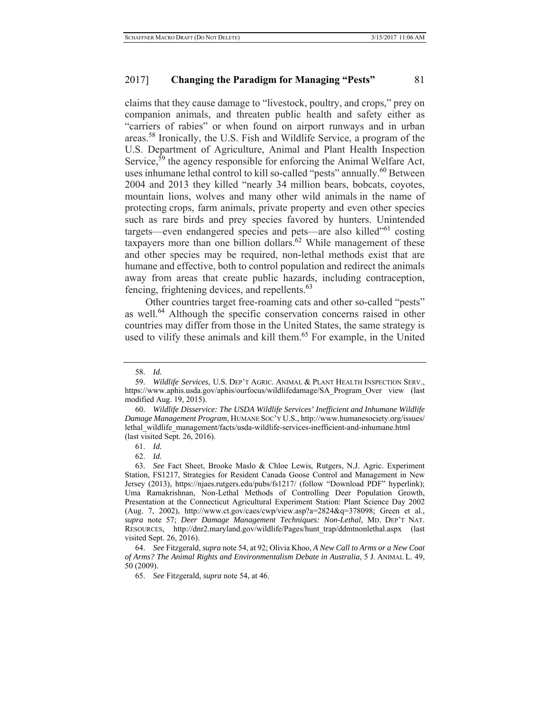claims that they cause damage to "livestock, poultry, and crops," prey on companion animals, and threaten public health and safety either as "carriers of rabies" or when found on airport runways and in urban areas.58 Ironically, the U.S. Fish and Wildlife Service, a program of the U.S. Department of Agriculture, Animal and Plant Health Inspection Service,  $\bar{5}9$  the agency responsible for enforcing the Animal Welfare Act, uses inhumane lethal control to kill so-called "pests" annually.<sup>60</sup> Between 2004 and 2013 they killed "nearly 34 million bears, bobcats, coyotes, mountain lions, wolves and many other wild animals in the name of protecting crops, farm animals, private property and even other species such as rare birds and prey species favored by hunters. Unintended targets—even endangered species and pets—are also killed<sup>"61</sup> costing taxpayers more than one billion dollars.<sup>62</sup> While management of these and other species may be required, non-lethal methods exist that are humane and effective, both to control population and redirect the animals away from areas that create public hazards, including contraception, fencing, frightening devices, and repellents.<sup>63</sup>

Other countries target free-roaming cats and other so-called "pests" as well.<sup>64</sup> Although the specific conservation concerns raised in other countries may differ from those in the United States, the same strategy is used to vilify these animals and kill them.<sup>65</sup> For example, in the United

61. *Id.*

<sup>58.</sup> *Id.*

<sup>59.</sup> *Wildlife Services*, U.S. DEP'T AGRIC. ANIMAL & PLANT HEALTH INSPECTION SERV., https://www.aphis.usda.gov/aphis/ourfocus/wildlifedamage/SA\_Program\_Over view (last modified Aug. 19, 2015).

<sup>60.</sup> *Wildlife Disservice: The USDA Wildlife Services' Inefficient and Inhumane Wildlife Damage Management Program*, HUMANE SOC'Y U.S., http://www.humanesociety.org/issues/ lethal\_wildlife\_management/facts/usda-wildlife-services-inefficient-and-inhumane.html (last visited Sept. 26, 2016).

<sup>62.</sup> *Id.*

<sup>63.</sup> *See* Fact Sheet, Brooke Maslo & Chloe Lewis, Rutgers, N.J. Agric. Experiment Station, FS1217, Strategies for Resident Canada Goose Control and Management in New Jersey (2013), https://njaes.rutgers.edu/pubs/fs1217/ (follow "Download PDF" hyperlink); Uma Ramakrishnan, Non-Lethal Methods of Controlling Deer Population Growth, Presentation at the Connecticut Agricultural Experiment Station: Plant Science Day 2002 (Aug. 7, 2002), http://www.ct.gov/caes/cwp/view.asp?a=2824&q=378098; Green et al., *supra* note 57; *Deer Damage Management Techniques: Non-Lethal*, MD. DEP'T NAT. RESOURCES, http://dnr2.maryland.gov/wildlife/Pages/hunt\_trap/ddmtnonlethal.aspx (last visited Sept. 26, 2016).

<sup>64.</sup> *See* Fitzgerald, *supra* note 54, at 92; Olivia Khoo, *A New Call to Arms or a New Coat of Arms? The Animal Rights and Environmentalism Debate in Australia*, 5 J. ANIMAL L. 49, 50 (2009).

<sup>65.</sup> *See* Fitzgerald, *supra* note 54, at 46.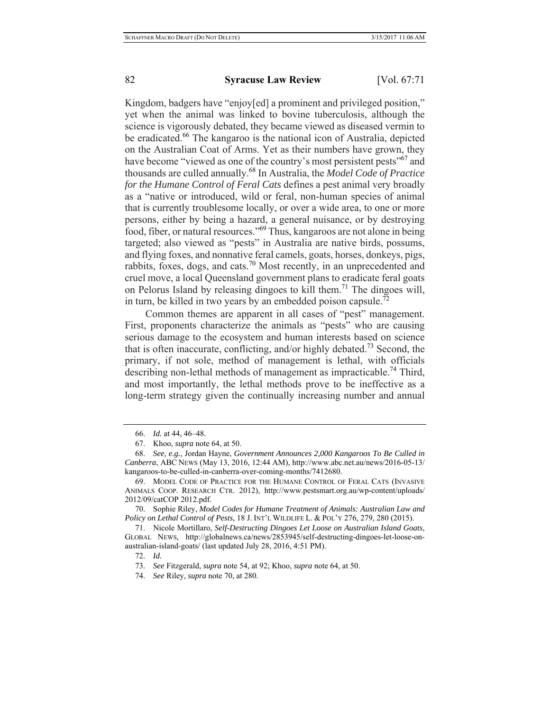Kingdom, badgers have "enjoy[ed] a prominent and privileged position," yet when the animal was linked to bovine tuberculosis, although the science is vigorously debated, they became viewed as diseased vermin to be eradicated.66 The kangaroo is the national icon of Australia, depicted on the Australian Coat of Arms. Yet as their numbers have grown, they have become "viewed as one of the country's most persistent pests"<sup>67</sup> and thousands are culled annually.68 In Australia, the *Model Code of Practice for the Humane Control of Feral Cats* defines a pest animal very broadly as a "native or introduced, wild or feral, non-human species of animal that is currently troublesome locally, or over a wide area, to one or more persons, either by being a hazard, a general nuisance, or by destroying food, fiber, or natural resources."69 Thus, kangaroos are not alone in being targeted; also viewed as "pests" in Australia are native birds, possums, and flying foxes, and nonnative feral camels, goats, horses, donkeys, pigs, rabbits, foxes, dogs, and cats.70 Most recently, in an unprecedented and cruel move, a local Queensland government plans to eradicate feral goats on Pelorus Island by releasing dingoes to kill them.71 The dingoes will, in turn, be killed in two years by an embedded poison capsule.<sup>72</sup>

Common themes are apparent in all cases of "pest" management. First, proponents characterize the animals as "pests" who are causing serious damage to the ecosystem and human interests based on science that is often inaccurate, conflicting, and/or highly debated.<sup>73</sup> Second, the primary, if not sole, method of management is lethal, with officials describing non-lethal methods of management as impracticable.<sup>74</sup> Third, and most importantly, the lethal methods prove to be ineffective as a long-term strategy given the continually increasing number and annual

70. Sophie Riley, *Model Codes for Humane Treatment of Animals: Australian Law and Policy on Lethal Control of Pests*, 18 J. INT'L WILDLIFE L. & POL'Y 276, 279, 280 (2015).

71. Nicole Mortillaro, *Self-Destructing Dingoes Let Loose on Australian Island Goats*, GLOBAL NEWS, http://globalnews.ca/news/2853945/self-destructing-dingoes-let-loose-onaustralian-island-goats/ (last updated July 28, 2016, 4:51 PM).

72. *Id.*

<sup>66.</sup> *Id.* at 44, 46–48.

<sup>67.</sup> Khoo, *supra* note 64, at 50.

<sup>68.</sup> *See, e.g.*, Jordan Hayne, *Government Announces 2,000 Kangaroos To Be Culled in Canberra*, ABC NEWS (May 13, 2016, 12:44 AM), http://www.abc.net.au/news/2016-05-13/ kangaroos-to-be-culled-in-canberra-over-coming-months/7412680.

<sup>69.</sup> MODEL CODE OF PRACTICE FOR THE HUMANE CONTROL OF FERAL CATS (INVASIVE ANIMALS COOP. RESEARCH CTR. 2012), http://www.pestsmart.org.au/wp-content/uploads/ 2012/09/catCOP 2012.pdf.

<sup>73.</sup> *See* Fitzgerald, *supra* note 54, at 92; Khoo, *supra* note 64, at 50.

<sup>74.</sup> *See* Riley, *supra* note 70, at 280.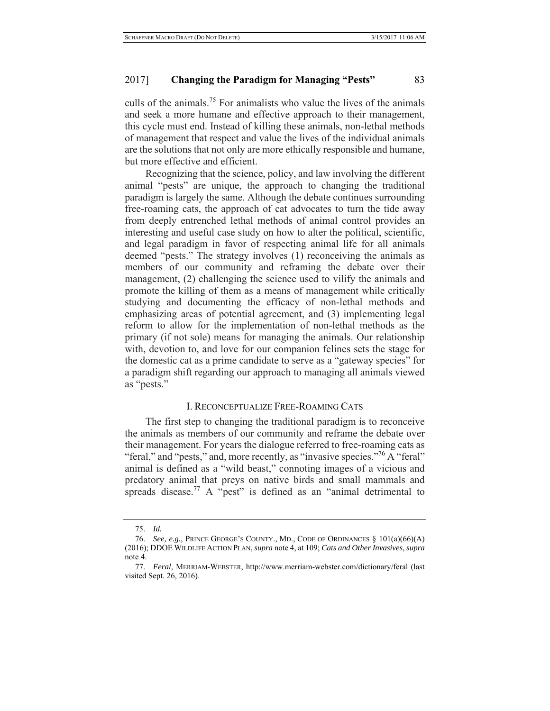## 2017] **Changing the Paradigm for Managing "Pests"** 83

culls of the animals.75 For animalists who value the lives of the animals and seek a more humane and effective approach to their management, this cycle must end. Instead of killing these animals, non-lethal methods of management that respect and value the lives of the individual animals are the solutions that not only are more ethically responsible and humane, but more effective and efficient.

Recognizing that the science, policy, and law involving the different animal "pests" are unique, the approach to changing the traditional paradigm is largely the same. Although the debate continues surrounding free-roaming cats, the approach of cat advocates to turn the tide away from deeply entrenched lethal methods of animal control provides an interesting and useful case study on how to alter the political, scientific, and legal paradigm in favor of respecting animal life for all animals deemed "pests." The strategy involves (1) reconceiving the animals as members of our community and reframing the debate over their management, (2) challenging the science used to vilify the animals and promote the killing of them as a means of management while critically studying and documenting the efficacy of non-lethal methods and emphasizing areas of potential agreement, and (3) implementing legal reform to allow for the implementation of non-lethal methods as the primary (if not sole) means for managing the animals. Our relationship with, devotion to, and love for our companion felines sets the stage for the domestic cat as a prime candidate to serve as a "gateway species" for a paradigm shift regarding our approach to managing all animals viewed as "pests."

#### I. RECONCEPTUALIZE FREE-ROAMING CATS

The first step to changing the traditional paradigm is to reconceive the animals as members of our community and reframe the debate over their management. For years the dialogue referred to free-roaming cats as "feral," and "pests," and, more recently, as "invasive species."<sup>76</sup> A "feral" animal is defined as a "wild beast," connoting images of a vicious and predatory animal that preys on native birds and small mammals and spreads disease.<sup>77</sup> A "pest" is defined as an "animal detrimental to

<sup>75.</sup> *Id.*

<sup>76.</sup> *See, e.g.*, PRINCE GEORGE'S COUNTY., MD., CODE OF ORDINANCES § 101(a)(66)(A) (2016); DDOE WILDLIFE ACTION PLAN, *supra* note 4, at 109; *Cats and Other Invasives*, *supra*  note 4.

<sup>77.</sup> *Feral*, MERRIAM-WEBSTER, http://www.merriam-webster.com/dictionary/feral (last visited Sept. 26, 2016).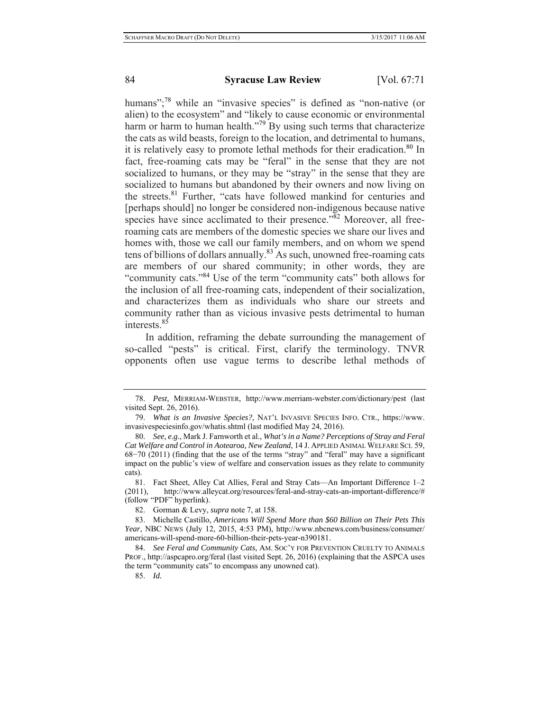humans";<sup>78</sup> while an "invasive species" is defined as "non-native (or alien) to the ecosystem" and "likely to cause economic or environmental harm or harm to human health."<sup>79</sup> By using such terms that characterize the cats as wild beasts, foreign to the location, and detrimental to humans, it is relatively easy to promote lethal methods for their eradication.<sup>80</sup> In fact, free-roaming cats may be "feral" in the sense that they are not socialized to humans, or they may be "stray" in the sense that they are socialized to humans but abandoned by their owners and now living on the streets.<sup>81</sup> Further, "cats have followed mankind for centuries and [perhaps should] no longer be considered non-indigenous because native species have since acclimated to their presence. $\frac{382}{8}$  Moreover, all freeroaming cats are members of the domestic species we share our lives and homes with, those we call our family members, and on whom we spend tens of billions of dollars annually.<sup>83</sup> As such, unowned free-roaming cats are members of our shared community; in other words, they are "community cats."84 Use of the term "community cats" both allows for the inclusion of all free-roaming cats, independent of their socialization, and characterizes them as individuals who share our streets and community rather than as vicious invasive pests detrimental to human interests.<sup>85</sup>

In addition, reframing the debate surrounding the management of so-called "pests" is critical. First, clarify the terminology. TNVR opponents often use vague terms to describe lethal methods of

85. *Id.*

<sup>78.</sup> *Pest*, MERRIAM-WEBSTER, http://www.merriam-webster.com/dictionary/pest (last visited Sept. 26, 2016).

<sup>79.</sup> *What is an Invasive Species?*, NAT'L INVASIVE SPECIES INFO. CTR., https://www. invasivespeciesinfo.gov/whatis.shtml (last modified May 24, 2016).

<sup>80.</sup> *See, e.g.*, Mark J. Farnworth et al., *What's in a Name? Perceptions of Stray and Feral Cat Welfare and Control in Aotearoa, New Zealand*, 14 J. APPLIED ANIMAL WELFARE SCI. 59, 68−70 (2011) (finding that the use of the terms "stray" and "feral" may have a significant impact on the public's view of welfare and conservation issues as they relate to community cats).

<sup>81.</sup> Fact Sheet, Alley Cat Allies, Feral and Stray Cats—An Important Difference 1–2 (2011), http://www.alleycat.org/resources/feral-and-stray-cats-an-important-difference/# (follow "PDF" hyperlink).

<sup>82.</sup> Gorman & Levy, *supra* note 7, at 158.

<sup>83.</sup> Michelle Castillo, *Americans Will Spend More than \$60 Billion on Their Pets This Year*, NBC NEWS (July 12, 2015, 4:53 PM), http://www.nbcnews.com/business/consumer/ americans-will-spend-more-60-billion-their-pets-year-n390181.

<sup>84.</sup> *See Feral and Community Cats*, AM. SOC'Y FOR PREVENTION CRUELTY TO ANIMALS PROF., http://aspcapro.org/feral (last visited Sept. 26, 2016) (explaining that the ASPCA uses the term "community cats" to encompass any unowned cat).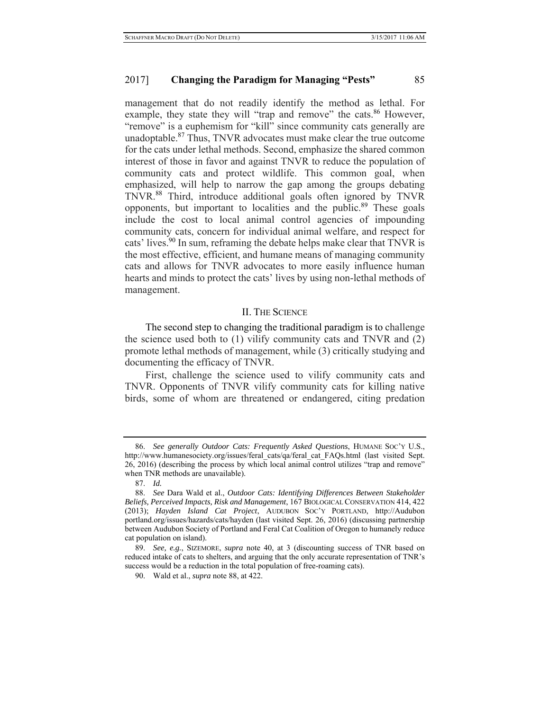management that do not readily identify the method as lethal. For example, they state they will "trap and remove" the cats.<sup>86</sup> However, "remove" is a euphemism for "kill" since community cats generally are unadoptable.87 Thus, TNVR advocates must make clear the true outcome for the cats under lethal methods. Second, emphasize the shared common interest of those in favor and against TNVR to reduce the population of community cats and protect wildlife. This common goal, when emphasized, will help to narrow the gap among the groups debating TNVR.88 Third, introduce additional goals often ignored by TNVR opponents, but important to localities and the public.<sup>89</sup> These goals include the cost to local animal control agencies of impounding community cats, concern for individual animal welfare, and respect for cats' lives.<sup>90</sup> In sum, reframing the debate helps make clear that TNVR is the most effective, efficient, and humane means of managing community cats and allows for TNVR advocates to more easily influence human hearts and minds to protect the cats' lives by using non-lethal methods of management.

#### II. THE SCIENCE

The second step to changing the traditional paradigm is to challenge the science used both to (1) vilify community cats and TNVR and (2) promote lethal methods of management, while (3) critically studying and documenting the efficacy of TNVR.

First, challenge the science used to vilify community cats and TNVR. Opponents of TNVR vilify community cats for killing native birds, some of whom are threatened or endangered, citing predation

<sup>86.</sup> *See generally Outdoor Cats: Frequently Asked Questions*, HUMANE SOC'Y U.S., http://www.humanesociety.org/issues/feral\_cats/qa/feral\_cat\_FAQs.html (last visited Sept. 26, 2016) (describing the process by which local animal control utilizes "trap and remove" when TNR methods are unavailable).

<sup>87.</sup> *Id.*

<sup>88.</sup> *See* Dara Wald et al., *Outdoor Cats: Identifying Differences Between Stakeholder Beliefs, Perceived Impacts, Risk and Management*, 167 BIOLOGICAL CONSERVATION 414, 422 (2013); *Hayden Island Cat Project*, AUDUBON SOC'Y PORTLAND, http://Audubon portland.org/issues/hazards/cats/hayden (last visited Sept. 26, 2016) (discussing partnership between Audubon Society of Portland and Feral Cat Coalition of Oregon to humanely reduce cat population on island).

<sup>89.</sup> *See, e.g.*, SIZEMORE, *supra* note 40, at 3 (discounting success of TNR based on reduced intake of cats to shelters, and arguing that the only accurate representation of TNR's success would be a reduction in the total population of free-roaming cats).

<sup>90.</sup> Wald et al., *supra* note 88, at 422.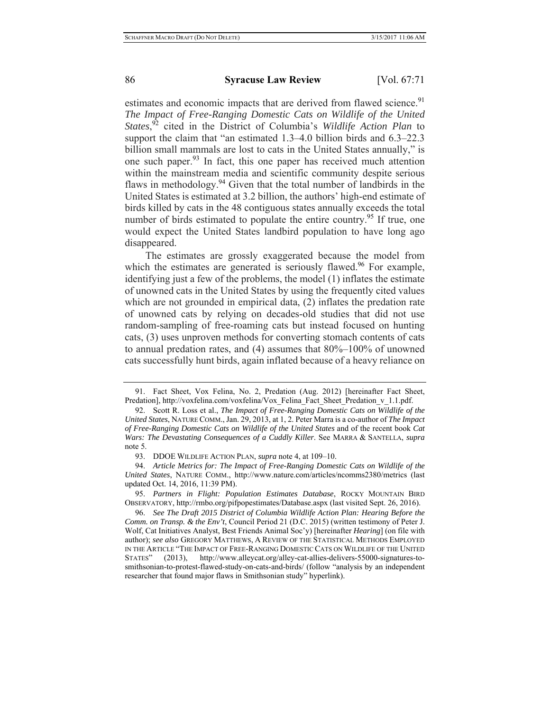estimates and economic impacts that are derived from flawed science.<sup>91</sup> *The Impact of Free-Ranging Domestic Cats on Wildlife of the United States*, 92 cited in the District of Columbia's *Wildlife Action Plan* to support the claim that "an estimated 1.3–4.0 billion birds and 6.3–22.3 billion small mammals are lost to cats in the United States annually," is one such paper.<sup>93</sup> In fact, this one paper has received much attention within the mainstream media and scientific community despite serious flaws in methodology.94 Given that the total number of landbirds in the United States is estimated at 3.2 billion, the authors' high-end estimate of birds killed by cats in the 48 contiguous states annually exceeds the total number of birds estimated to populate the entire country.<sup>95</sup> If true, one would expect the United States landbird population to have long ago disappeared.

The estimates are grossly exaggerated because the model from which the estimates are generated is seriously flawed.<sup>96</sup> For example, identifying just a few of the problems, the model (1) inflates the estimate of unowned cats in the United States by using the frequently cited values which are not grounded in empirical data, (2) inflates the predation rate of unowned cats by relying on decades-old studies that did not use random-sampling of free-roaming cats but instead focused on hunting cats, (3) uses unproven methods for converting stomach contents of cats to annual predation rates, and (4) assumes that 80%–100% of unowned cats successfully hunt birds, again inflated because of a heavy reliance on

<sup>91.</sup> Fact Sheet, Vox Felina, No. 2, Predation (Aug. 2012) [hereinafter Fact Sheet, Predation], http://voxfelina.com/voxfelina/Vox\_Felina\_Fact\_Sheet\_Predation\_v\_1.1.pdf.

<sup>92.</sup> Scott R. Loss et al., *The Impact of Free-Ranging Domestic Cats on Wildlife of the United States*, NATURE COMM., Jan. 29, 2013, at 1, 2. Peter Marra is a co-author of *The Impact of Free-Ranging Domestic Cats on Wildlife of the United States* and of the recent book *Cat Wars: The Devastating Consequences of a Cuddly Killer*. See MARRA & SANTELLA, *supra* note 5.

<sup>93.</sup> DDOE WILDLIFE ACTION PLAN, *supra* note 4, at 109–10.

<sup>94.</sup> *Article Metrics for: The Impact of Free-Ranging Domestic Cats on Wildlife of the United States*, NATURE COMM., http://www.nature.com/articles/ncomms2380/metrics (last updated Oct. 14, 2016, 11:39 PM).

<sup>95.</sup> *Partners in Flight: Population Estimates Database*, ROCKY MOUNTAIN BIRD OBSERVATORY, http://rmbo.org/pifpopestimates/Database.aspx (last visited Sept. 26, 2016).

<sup>96.</sup> *See The Draft 2015 District of Columbia Wildlife Action Plan: Hearing Before the Comm. on Transp. & the Env't*, Council Period 21 (D.C. 2015) (written testimony of Peter J. Wolf, Cat Initiatives Analyst, Best Friends Animal Soc'y) [hereinafter *Hearing*] (on file with author); *see also* GREGORY MATTHEWS, A REVIEW OF THE STATISTICAL METHODS EMPLOYED IN THE ARTICLE "THE IMPACT OF FREE-RANGING DOMESTIC CATS ON WILDLIFE OF THE UNITED STATES" (2013), http://www.alleycat.org/alley-cat-allies-delivers-55000-signatures-tosmithsonian-to-protest-flawed-study-on-cats-and-birds/ (follow "analysis by an independent researcher that found major flaws in Smithsonian study" hyperlink).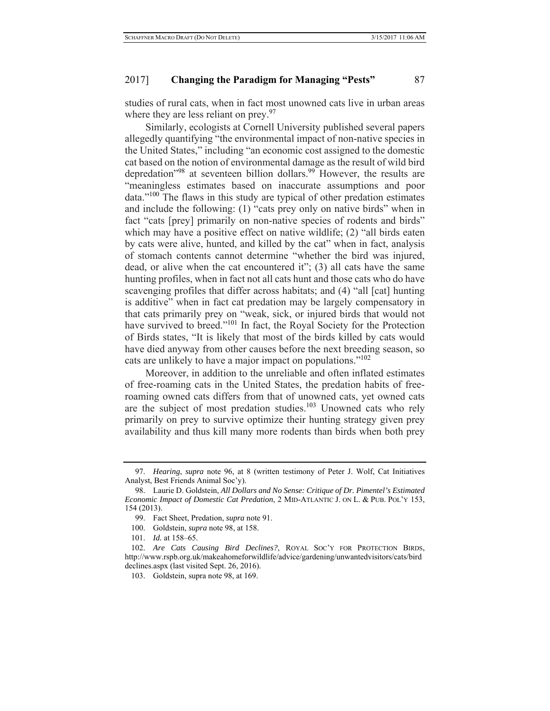studies of rural cats, when in fact most unowned cats live in urban areas where they are less reliant on prey.<sup>97</sup>

Similarly, ecologists at Cornell University published several papers allegedly quantifying "the environmental impact of non-native species in the United States," including "an economic cost assigned to the domestic cat based on the notion of environmental damage as the result of wild bird depredation<sup>"98</sup> at seventeen billion dollars.<sup>99</sup> However, the results are "meaningless estimates based on inaccurate assumptions and poor data."100 The flaws in this study are typical of other predation estimates and include the following: (1) "cats prey only on native birds" when in fact "cats [prey] primarily on non-native species of rodents and birds" which may have a positive effect on native wildlife; (2) "all birds eaten by cats were alive, hunted, and killed by the cat" when in fact, analysis of stomach contents cannot determine "whether the bird was injured, dead, or alive when the cat encountered it"; (3) all cats have the same hunting profiles, when in fact not all cats hunt and those cats who do have scavenging profiles that differ across habitats; and (4) "all [cat] hunting is additive" when in fact cat predation may be largely compensatory in that cats primarily prey on "weak, sick, or injured birds that would not have survived to breed."<sup>101</sup> In fact, the Royal Society for the Protection of Birds states, "It is likely that most of the birds killed by cats would have died anyway from other causes before the next breeding season, so cats are unlikely to have a major impact on populations."<sup>102</sup>

Moreover, in addition to the unreliable and often inflated estimates of free-roaming cats in the United States, the predation habits of freeroaming owned cats differs from that of unowned cats, yet owned cats are the subject of most predation studies.<sup>103</sup> Unowned cats who rely primarily on prey to survive optimize their hunting strategy given prey availability and thus kill many more rodents than birds when both prey

<sup>97.</sup> *Hearing*, *supra* note 96, at 8 (written testimony of Peter J. Wolf, Cat Initiatives Analyst, Best Friends Animal Soc'y).

<sup>98.</sup> Laurie D. Goldstein, *All Dollars and No Sense: Critique of Dr. Pimentel's Estimated Economic Impact of Domestic Cat Predation*, 2 MID-ATLANTIC J. ON L. & PUB. POL'Y 153, 154 (2013).

<sup>99.</sup> Fact Sheet, Predation, *supra* note 91.

<sup>100.</sup> Goldstein, *supra* note 98, at 158.

<sup>101.</sup> *Id.* at 158–65.

<sup>102.</sup> *Are Cats Causing Bird Declines?*, ROYAL SOC'Y FOR PROTECTION BIRDS, http://www.rspb.org.uk/makeahomeforwildlife/advice/gardening/unwantedvisitors/cats/bird declines.aspx (last visited Sept. 26, 2016).

<sup>103.</sup> Goldstein, supra note 98, at 169.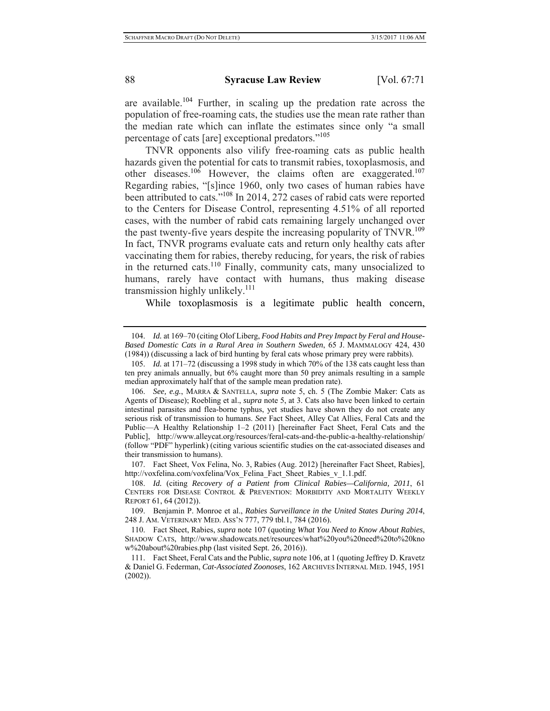are available.<sup>104</sup> Further, in scaling up the predation rate across the population of free-roaming cats, the studies use the mean rate rather than the median rate which can inflate the estimates since only "a small percentage of cats [are] exceptional predators."105

TNVR opponents also vilify free-roaming cats as public health hazards given the potential for cats to transmit rabies, toxoplasmosis, and other diseases.<sup>106</sup> However, the claims often are exaggerated.<sup>107</sup> Regarding rabies, "[s]ince 1960, only two cases of human rabies have been attributed to cats."108 In 2014, 272 cases of rabid cats were reported to the Centers for Disease Control, representing 4.51% of all reported cases, with the number of rabid cats remaining largely unchanged over the past twenty-five years despite the increasing popularity of TNVR.<sup>109</sup> In fact, TNVR programs evaluate cats and return only healthy cats after vaccinating them for rabies, thereby reducing, for years, the risk of rabies in the returned cats.110 Finally, community cats, many unsocialized to humans, rarely have contact with humans, thus making disease transmission highly unlikely. $^{111}$ 

While toxoplasmosis is a legitimate public health concern,

<sup>104.</sup> *Id.* at 169–70 (citing Olof Liberg, *Food Habits and Prey Impact by Feral and House-Based Domestic Cats in a Rural Area in Southern Sweden*, 65 J. MAMMALOGY 424, 430 (1984)) (discussing a lack of bird hunting by feral cats whose primary prey were rabbits).

<sup>105.</sup> *Id.* at 171–72 (discussing a 1998 study in which 70% of the 138 cats caught less than ten prey animals annually, but 6% caught more than 50 prey animals resulting in a sample median approximately half that of the sample mean predation rate).

<sup>106.</sup> *See, e.g.*, MARRA & SANTELLA, *supra* note 5, ch. 5 (The Zombie Maker: Cats as Agents of Disease); Roebling et al., *supra* note 5, at 3. Cats also have been linked to certain intestinal parasites and flea-borne typhus, yet studies have shown they do not create any serious risk of transmission to humans. *See* Fact Sheet, Alley Cat Allies, Feral Cats and the Public—A Healthy Relationship 1–2 (2011) [hereinafter Fact Sheet, Feral Cats and the Public], http://www.alleycat.org/resources/feral-cats-and-the-public-a-healthy-relationship/ (follow "PDF" hyperlink) (citing various scientific studies on the cat-associated diseases and their transmission to humans).

<sup>107.</sup> Fact Sheet, Vox Felina, No. 3, Rabies (Aug. 2012) [hereinafter Fact Sheet, Rabies], http://voxfelina.com/voxfelina/Vox\_Felina\_Fact\_Sheet\_Rabies\_v\_1.1.pdf.

<sup>108.</sup> *Id.* (citing *Recovery of a Patient from Clinical Rabies—California, 2011*, 61 CENTERS FOR DISEASE CONTROL & PREVENTION: MORBIDITY AND MORTALITY WEEKLY REPORT 61, 64 (2012)).

<sup>109.</sup> Benjamin P. Monroe et al., *Rabies Surveillance in the United States During 2014*, 248 J. AM. VETERINARY MED. ASS'N 777, 779 tbl.1, 784 (2016).

<sup>110.</sup> Fact Sheet, Rabies, *supra* note 107 (quoting *What You Need to Know About Rabies*, SHADOW CATS, http://www.shadowcats.net/resources/what%20you%20need%20to%20kno w%20about%20rabies.php (last visited Sept. 26, 2016)).

<sup>111.</sup> Fact Sheet, Feral Cats and the Public, *supra* note 106, at 1 (quoting Jeffrey D. Kravetz & Daniel G. Federman, *Cat-Associated Zoonoses*, 162 ARCHIVES INTERNAL MED. 1945, 1951 (2002)).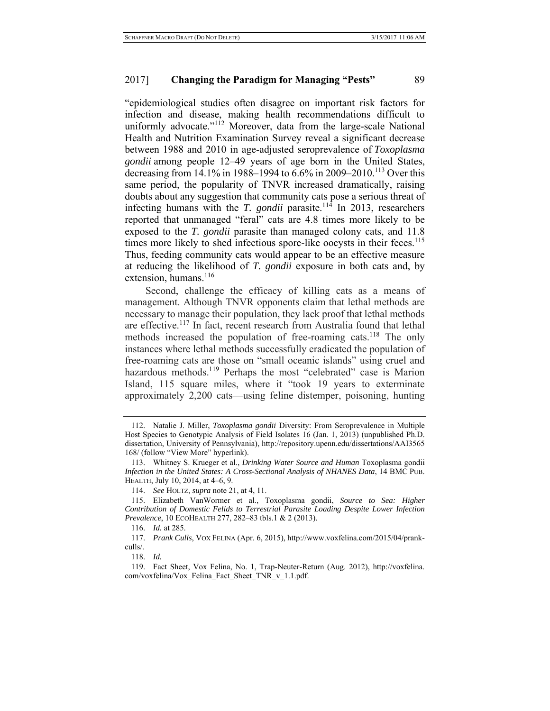"epidemiological studies often disagree on important risk factors for infection and disease, making health recommendations difficult to uniformly advocate."<sup>112</sup> Moreover, data from the large-scale National Health and Nutrition Examination Survey reveal a significant decrease between 1988 and 2010 in age-adjusted seroprevalence of *Toxoplasma gondii* among people 12–49 years of age born in the United States, decreasing from 14.1% in 1988–1994 to 6.6% in 2009–2010.<sup>113</sup> Over this same period, the popularity of TNVR increased dramatically, raising doubts about any suggestion that community cats pose a serious threat of infecting humans with the *T. gondii* parasite.<sup>114</sup> In 2013, researchers reported that unmanaged "feral" cats are 4.8 times more likely to be exposed to the *T. gondii* parasite than managed colony cats, and 11.8 times more likely to shed infectious spore-like oocysts in their feces.<sup>115</sup> Thus, feeding community cats would appear to be an effective measure at reducing the likelihood of *T. gondii* exposure in both cats and, by extension, humans.<sup>116</sup>

Second, challenge the efficacy of killing cats as a means of management. Although TNVR opponents claim that lethal methods are necessary to manage their population, they lack proof that lethal methods are effective.<sup>117</sup> In fact, recent research from Australia found that lethal methods increased the population of free-roaming cats.<sup>118</sup> The only instances where lethal methods successfully eradicated the population of free-roaming cats are those on "small oceanic islands" using cruel and hazardous methods.<sup>119</sup> Perhaps the most "celebrated" case is Marion Island, 115 square miles, where it "took 19 years to exterminate approximately 2,200 cats—using feline distemper, poisoning, hunting

118. *Id.*

<sup>112.</sup> Natalie J. Miller, *Toxoplasma gondii* Diversity: From Seroprevalence in Multiple Host Species to Genotypic Analysis of Field Isolates 16 (Jan. 1, 2013) (unpublished Ph.D. dissertation, University of Pennsylvania), http://repository.upenn.edu/dissertations/AAI3565 168/ (follow "View More" hyperlink).

<sup>113.</sup> Whitney S. Krueger et al., *Drinking Water Source and Human* Toxoplasma gondii *Infection in the United States: A Cross-Sectional Analysis of NHANES Data*, 14 BMC PUB. HEALTH, July 10, 2014, at 4–6, 9.

<sup>114.</sup> *See* HOLTZ, *supra* note 21, at 4, 11.

<sup>115.</sup> Elizabeth VanWormer et al., Toxoplasma gondii, *Source to Sea: Higher Contribution of Domestic Felids to Terrestrial Parasite Loading Despite Lower Infection Prevalence*, 10 ECOHEALTH 277, 282–83 tbls.1 & 2 (2013).

<sup>116.</sup> *Id.* at 285.

<sup>117.</sup> *Prank Culls*, VOX FELINA (Apr. 6, 2015), http://www.voxfelina.com/2015/04/prankculls/.

<sup>119.</sup> Fact Sheet, Vox Felina, No. 1, Trap-Neuter-Return (Aug. 2012), http://voxfelina. com/voxfelina/Vox\_Felina\_Fact\_Sheet\_TNR\_v\_1.1.pdf.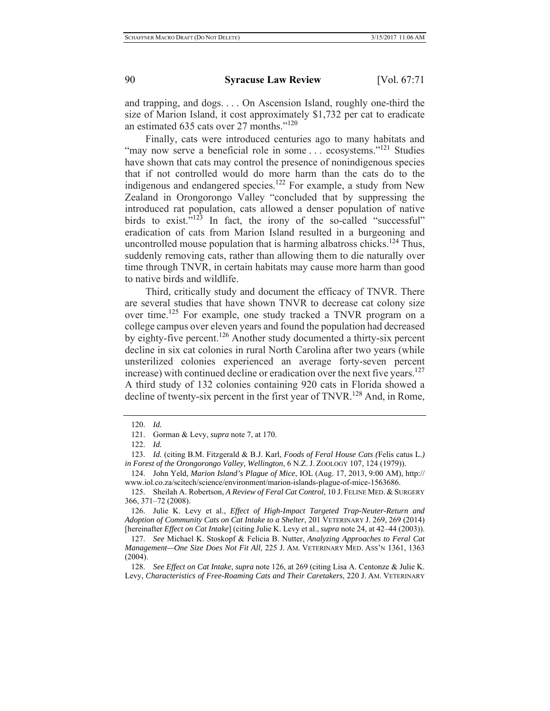and trapping, and dogs. . . . On Ascension Island, roughly one-third the size of Marion Island, it cost approximately \$1,732 per cat to eradicate an estimated 635 cats over 27 months."120

Finally, cats were introduced centuries ago to many habitats and "may now serve a beneficial role in some ... ecosystems."<sup>121</sup> Studies have shown that cats may control the presence of nonindigenous species that if not controlled would do more harm than the cats do to the indigenous and endangered species.<sup>122</sup> For example, a study from New Zealand in Orongorongo Valley "concluded that by suppressing the introduced rat population, cats allowed a denser population of native birds to exist. $v^{123}$  In fact, the irony of the so-called "successful" eradication of cats from Marion Island resulted in a burgeoning and uncontrolled mouse population that is harming albatross chicks.<sup>124</sup> Thus, suddenly removing cats, rather than allowing them to die naturally over time through TNVR, in certain habitats may cause more harm than good to native birds and wildlife.

Third, critically study and document the efficacy of TNVR. There are several studies that have shown TNVR to decrease cat colony size over time.125 For example, one study tracked a TNVR program on a college campus over eleven years and found the population had decreased by eighty-five percent.<sup>126</sup> Another study documented a thirty-six percent decline in six cat colonies in rural North Carolina after two years (while unsterilized colonies experienced an average forty-seven percent increase) with continued decline or eradication over the next five years.<sup>127</sup> A third study of 132 colonies containing 920 cats in Florida showed a decline of twenty-six percent in the first year of TNVR.<sup>128</sup> And, in Rome,

124. John Yeld, *Marion Island's Plague of Mice*, IOL (Aug. 17, 2013, 9:00 AM), http:// www.iol.co.za/scitech/science/environment/marion-islands-plague-of-mice-1563686.

125. Sheilah A. Robertson, *A Review of Feral Cat Control*, 10 J. FELINE MED. & SURGERY 366, 371–72 (2008).

126. Julie K. Levy et al., *Effect of High-Impact Targeted Trap-Neuter-Return and Adoption of Community Cats on Cat Intake to a Shelter*, 201 VETERINARY J. 269, 269 (2014) [hereinafter *Effect on Cat Intake*] (citing Julie K. Levy et al., *supra* note 24, at 42–44 (2003)).

127. *See* Michael K. Stoskopf & Felicia B. Nutter, *Analyzing Approaches to Feral Cat Management—One Size Does Not Fit All*, 225 J. AM. VETERINARY MED. ASS'N 1361, 1363 (2004).

128. *See Effect on Cat Intake*, *supra* note 126, at 269 (citing Lisa A. Centonze & Julie K. Levy, *Characteristics of Free-Roaming Cats and Their Caretakers*, 220 J. AM. VETERINARY

<sup>120.</sup> *Id.*

<sup>121.</sup> Gorman & Levy, *supra* note 7, at 170.

<sup>122.</sup> *Id.*

<sup>123.</sup> *Id.* (citing B.M. Fitzgerald & B.J. Karl, *Foods of Feral House Cats (*Felis catus L.*) in Forest of the Orongorongo Valley, Wellington*, 6 N.Z. J. ZOOLOGY 107, 124 (1979)).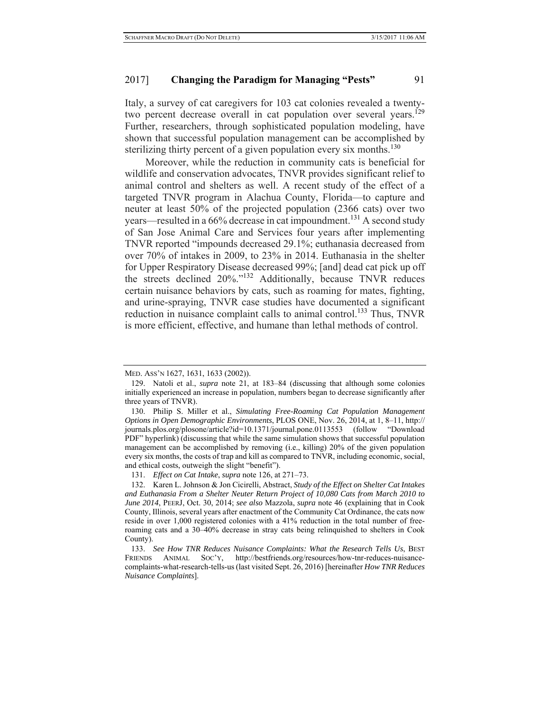## 2017] **Changing the Paradigm for Managing "Pests"** 91

Italy, a survey of cat caregivers for 103 cat colonies revealed a twentytwo percent decrease overall in cat population over several years.<sup>129</sup> Further, researchers, through sophisticated population modeling, have shown that successful population management can be accomplished by sterilizing thirty percent of a given population every six months.<sup>130</sup>

Moreover, while the reduction in community cats is beneficial for wildlife and conservation advocates, TNVR provides significant relief to animal control and shelters as well. A recent study of the effect of a targeted TNVR program in Alachua County, Florida—to capture and neuter at least 50% of the projected population (2366 cats) over two years—resulted in a 66% decrease in cat impoundment.<sup>131</sup> A second study of San Jose Animal Care and Services four years after implementing TNVR reported "impounds decreased 29.1%; euthanasia decreased from over 70% of intakes in 2009, to 23% in 2014. Euthanasia in the shelter for Upper Respiratory Disease decreased 99%; [and] dead cat pick up off the streets declined 20%."132 Additionally, because TNVR reduces certain nuisance behaviors by cats, such as roaming for mates, fighting, and urine-spraying, TNVR case studies have documented a significant reduction in nuisance complaint calls to animal control.<sup>133</sup> Thus, TNVR is more efficient, effective, and humane than lethal methods of control.

MED. ASS'N 1627, 1631, 1633 (2002)).

<sup>129.</sup> Natoli et al., *supra* note 21, at 183–84 (discussing that although some colonies initially experienced an increase in population, numbers began to decrease significantly after three years of TNVR).

<sup>130.</sup> Philip S. Miller et al., *Simulating Free-Roaming Cat Population Management Options in Open Demographic Environments*, PLOS ONE, Nov. 26, 2014, at 1, 8–11, http:// journals.plos.org/plosone/article?id=10.1371/journal.pone.0113553 (follow "Download PDF" hyperlink) (discussing that while the same simulation shows that successful population management can be accomplished by removing (i.e., killing) 20% of the given population every six months, the costs of trap and kill as compared to TNVR, including economic, social, and ethical costs, outweigh the slight "benefit").

<sup>131.</sup> *Effect on Cat Intake*, *supra* note 126, at 271–73.

<sup>132.</sup> Karen L. Johnson & Jon Cicirelli, Abstract, *Study of the Effect on Shelter Cat Intakes and Euthanasia From a Shelter Neuter Return Project of 10,080 Cats from March 2010 to June 2014*, PEERJ, Oct. 30, 2014; *see also* Mazzola, *supra* note 46 (explaining that in Cook County, Illinois, several years after enactment of the Community Cat Ordinance, the cats now reside in over 1,000 registered colonies with a 41% reduction in the total number of freeroaming cats and a 30–40% decrease in stray cats being relinquished to shelters in Cook County).

<sup>133.</sup> *See How TNR Reduces Nuisance Complaints: What the Research Tells Us*, BEST FRIENDS ANIMAL SOC'Y, http://bestfriends.org/resources/how-tnr-reduces-nuisancecomplaints-what-research-tells-us (last visited Sept. 26, 2016) [hereinafter *How TNR Reduces Nuisance Complaints*].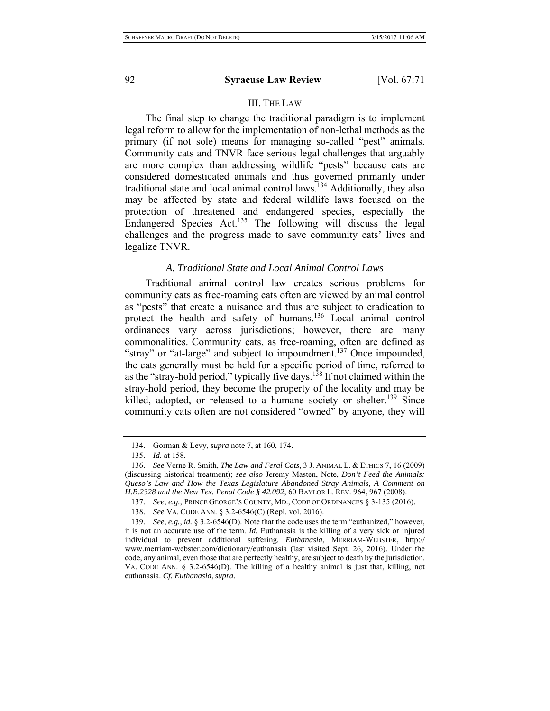### III. THE LAW

The final step to change the traditional paradigm is to implement legal reform to allow for the implementation of non-lethal methods as the primary (if not sole) means for managing so-called "pest" animals. Community cats and TNVR face serious legal challenges that arguably are more complex than addressing wildlife "pests" because cats are considered domesticated animals and thus governed primarily under traditional state and local animal control laws.<sup>134</sup> Additionally, they also may be affected by state and federal wildlife laws focused on the protection of threatened and endangered species, especially the Endangered Species Act.135 The following will discuss the legal challenges and the progress made to save community cats' lives and legalize TNVR.

## *A. Traditional State and Local Animal Control Laws*

Traditional animal control law creates serious problems for community cats as free-roaming cats often are viewed by animal control as "pests" that create a nuisance and thus are subject to eradication to protect the health and safety of humans.<sup>136</sup> Local animal control ordinances vary across jurisdictions; however, there are many commonalities. Community cats, as free-roaming, often are defined as "stray" or "at-large" and subject to impoundment.<sup>137</sup> Once impounded, the cats generally must be held for a specific period of time, referred to as the "stray-hold period," typically five days.138 If not claimed within the stray-hold period, they become the property of the locality and may be killed, adopted, or released to a humane society or shelter.<sup>139</sup> Since community cats often are not considered "owned" by anyone, they will

<sup>134.</sup> Gorman & Levy, *supra* note 7, at 160, 174.

<sup>135.</sup> *Id.* at 158.

<sup>136.</sup> *See* Verne R. Smith, *The Law and Feral Cats*, 3 J. ANIMAL L. & ETHICS 7, 16 (2009) (discussing historical treatment); *see also* Jeremy Masten, Note, *Don't Feed the Animals: Queso's Law and How the Texas Legislature Abandoned Stray Animals, A Comment on H.B.2328 and the New Tex. Penal Code § 42.092*, 60 BAYLOR L. REV. 964, 967 (2008).

<sup>137.</sup> *See, e.g.*, PRINCE GEORGE'S COUNTY, MD., CODE OF ORDINANCES § 3-135 (2016).

<sup>138.</sup> *See* VA. CODE ANN. § 3.2-6546(C) (Repl. vol. 2016).

<sup>139.</sup> *See, e.g.*, *id.* § 3.2-6546(D). Note that the code uses the term "euthanized," however, it is not an accurate use of the term. *Id.* Euthanasia is the killing of a very sick or injured individual to prevent additional suffering. *Euthanasia*, MERRIAM-WEBSTER, http:// www.merriam-webster.com/dictionary/euthanasia (last visited Sept. 26, 2016). Under the code, any animal, even those that are perfectly healthy, are subject to death by the jurisdiction. VA. CODE ANN. § 3.2-6546(D). The killing of a healthy animal is just that, killing, not euthanasia. *Cf. Euthanasia*, *supra*.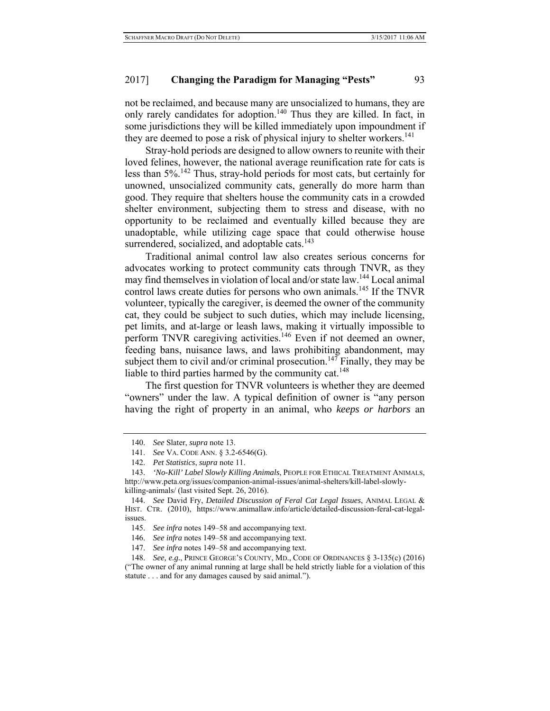# 2017] **Changing the Paradigm for Managing "Pests"** 93

not be reclaimed, and because many are unsocialized to humans, they are only rarely candidates for adoption.<sup>140</sup> Thus they are killed. In fact, in some jurisdictions they will be killed immediately upon impoundment if they are deemed to pose a risk of physical injury to shelter workers.<sup>141</sup>

Stray-hold periods are designed to allow owners to reunite with their loved felines, however, the national average reunification rate for cats is less than 5%.142 Thus, stray-hold periods for most cats, but certainly for unowned, unsocialized community cats, generally do more harm than good. They require that shelters house the community cats in a crowded shelter environment, subjecting them to stress and disease, with no opportunity to be reclaimed and eventually killed because they are unadoptable, while utilizing cage space that could otherwise house surrendered, socialized, and adoptable cats. $143$ 

Traditional animal control law also creates serious concerns for advocates working to protect community cats through TNVR, as they may find themselves in violation of local and/or state law.144 Local animal control laws create duties for persons who own animals.<sup>145</sup> If the TNVR volunteer, typically the caregiver, is deemed the owner of the community cat, they could be subject to such duties, which may include licensing, pet limits, and at-large or leash laws, making it virtually impossible to perform TNVR caregiving activities.<sup>146</sup> Even if not deemed an owner, feeding bans, nuisance laws, and laws prohibiting abandonment, may subject them to civil and/or criminal prosecution.<sup>147</sup> Finally, they may be liable to third parties harmed by the community cat.<sup>148</sup>

The first question for TNVR volunteers is whether they are deemed "owners" under the law. A typical definition of owner is "any person having the right of property in an animal, who *keeps or harbors* an

147. *See infra* notes 149–58 and accompanying text.

<sup>140.</sup> *See* Slater, *supra* note 13.

<sup>141.</sup> *See* VA. CODE ANN. § 3.2-6546(G).

<sup>142.</sup> *Pet Statistics*, *supra* note 11.

<sup>143.</sup> *'No-Kill' Label Slowly Killing Animals*, PEOPLE FOR ETHICAL TREATMENT ANIMALS, http://www.peta.org/issues/companion-animal-issues/animal-shelters/kill-label-slowlykilling-animals/ (last visited Sept. 26, 2016).

<sup>144.</sup> *See* David Fry, *Detailed Discussion of Feral Cat Legal Issues*, ANIMAL LEGAL & HIST. CTR. (2010), https://www.animallaw.info/article/detailed-discussion-feral-cat-legalissues.

<sup>145.</sup> *See infra* notes 149–58 and accompanying text.

<sup>146.</sup> *See infra* notes 149–58 and accompanying text.

<sup>148.</sup> *See, e.g.*, PRINCE GEORGE'S COUNTY, MD., CODE OF ORDINANCES § 3-135(c) (2016) ("The owner of any animal running at large shall be held strictly liable for a violation of this statute . . . and for any damages caused by said animal.").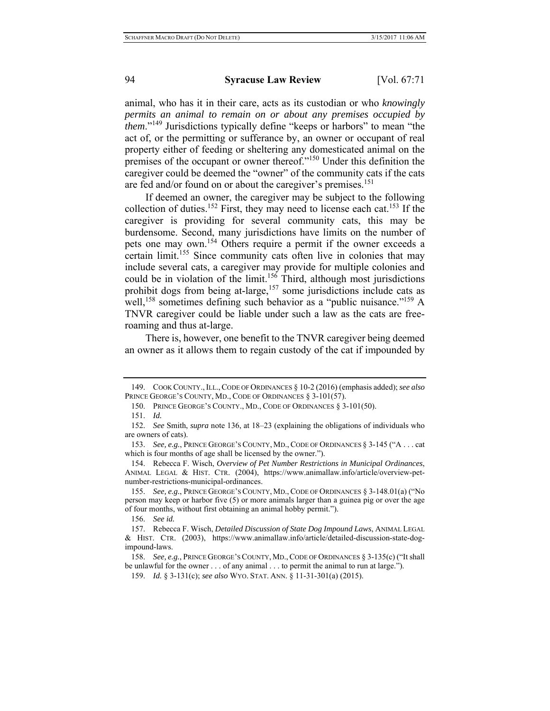animal, who has it in their care, acts as its custodian or who *knowingly permits an animal to remain on or about any premises occupied by them*."<sup>149</sup> Jurisdictions typically define "keeps or harbors" to mean "the act of, or the permitting or sufferance by, an owner or occupant of real property either of feeding or sheltering any domesticated animal on the premises of the occupant or owner thereof."150 Under this definition the caregiver could be deemed the "owner" of the community cats if the cats are fed and/or found on or about the caregiver's premises.<sup>151</sup>

If deemed an owner, the caregiver may be subject to the following collection of duties.<sup>152</sup> First, they may need to license each cat.<sup>153</sup> If the caregiver is providing for several community cats, this may be burdensome. Second, many jurisdictions have limits on the number of pets one may own.154 Others require a permit if the owner exceeds a certain limit.<sup>155</sup> Since community cats often live in colonies that may include several cats, a caregiver may provide for multiple colonies and could be in violation of the limit.<sup>156</sup> Third, although most jurisdictions prohibit dogs from being at-large, $157$  some jurisdictions include cats as well,<sup>158</sup> sometimes defining such behavior as a "public nuisance."<sup>159</sup> A TNVR caregiver could be liable under such a law as the cats are freeroaming and thus at-large.

There is, however, one benefit to the TNVR caregiver being deemed an owner as it allows them to regain custody of the cat if impounded by

<sup>149.</sup> COOK COUNTY.,ILL.,CODE OF ORDINANCES § 10-2 (2016) (emphasis added); *see also* PRINCE GEORGE'S COUNTY, MD., CODE OF ORDINANCES § 3-101(57).

<sup>150.</sup> PRINCE GEORGE'S COUNTY., MD., CODE OF ORDINANCES § 3-101(50).

<sup>151.</sup> *Id.*

<sup>152.</sup> *See* Smith, *supra* note 136, at 18–23 (explaining the obligations of individuals who are owners of cats).

<sup>153.</sup> *See, e.g.*, PRINCE GEORGE'S COUNTY, MD., CODE OF ORDINANCES § 3-145 ("A . . . cat which is four months of age shall be licensed by the owner.").

<sup>154.</sup> Rebecca F. Wisch, *Overview of Pet Number Restrictions in Municipal Ordinances*, ANIMAL LEGAL & HIST. CTR. (2004), https://www.animallaw.info/article/overview-petnumber-restrictions-municipal-ordinances.

<sup>155.</sup> *See, e.g.*, PRINCE GEORGE'S COUNTY, MD., CODE OF ORDINANCES § 3-148.01(a) ("No person may keep or harbor five (5) or more animals larger than a guinea pig or over the age of four months, without first obtaining an animal hobby permit.").

<sup>156.</sup> *See id.*

<sup>157.</sup> Rebecca F. Wisch, *Detailed Discussion of State Dog Impound Laws*, ANIMAL LEGAL & HIST. CTR. (2003), https://www.animallaw.info/article/detailed-discussion-state-dogimpound-laws.

<sup>158.</sup> *See, e.g.*, PRINCE GEORGE'S COUNTY, MD.,CODE OF ORDINANCES § 3-135(c) ("It shall be unlawful for the owner . . . of any animal . . . to permit the animal to run at large.").

<sup>159.</sup> *Id.* § 3-131(c); *see also* WYO. STAT. ANN. § 11-31-301(a) (2015).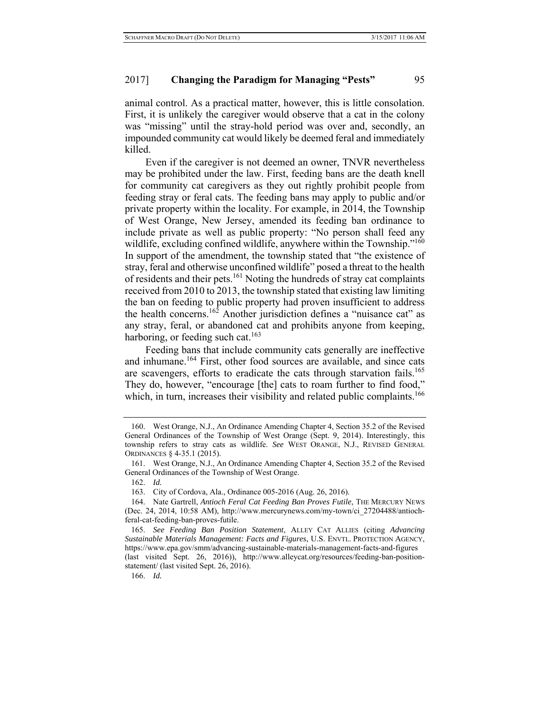animal control. As a practical matter, however, this is little consolation. First, it is unlikely the caregiver would observe that a cat in the colony was "missing" until the stray-hold period was over and, secondly, an impounded community cat would likely be deemed feral and immediately killed.

Even if the caregiver is not deemed an owner, TNVR nevertheless may be prohibited under the law. First, feeding bans are the death knell for community cat caregivers as they out rightly prohibit people from feeding stray or feral cats. The feeding bans may apply to public and/or private property within the locality. For example, in 2014, the Township of West Orange, New Jersey, amended its feeding ban ordinance to include private as well as public property: "No person shall feed any wildlife, excluding confined wildlife, anywhere within the Township."<sup>160</sup> In support of the amendment, the township stated that "the existence of stray, feral and otherwise unconfined wildlife" posed a threat to the health of residents and their pets.<sup>161</sup> Noting the hundreds of stray cat complaints received from 2010 to 2013, the township stated that existing law limiting the ban on feeding to public property had proven insufficient to address the health concerns.<sup>162</sup> Another jurisdiction defines a "nuisance cat" as any stray, feral, or abandoned cat and prohibits anyone from keeping, harboring, or feeding such cat.<sup>163</sup>

Feeding bans that include community cats generally are ineffective and inhumane.<sup>164</sup> First, other food sources are available, and since cats are scavengers, efforts to eradicate the cats through starvation fails.<sup>165</sup> They do, however, "encourage [the] cats to roam further to find food," which, in turn, increases their visibility and related public complaints.<sup>166</sup>

<sup>160.</sup> West Orange, N.J., An Ordinance Amending Chapter 4, Section 35.2 of the Revised General Ordinances of the Township of West Orange (Sept. 9, 2014). Interestingly, this township refers to stray cats as wildlife. *See* WEST ORANGE, N.J., REVISED GENERAL ORDINANCES § 4-35.1 (2015).

<sup>161.</sup> West Orange, N.J., An Ordinance Amending Chapter 4, Section 35.2 of the Revised General Ordinances of the Township of West Orange.

<sup>162.</sup> *Id.*

<sup>163.</sup> City of Cordova, Ala., Ordinance 005-2016 (Aug. 26, 2016).

<sup>164.</sup> Nate Gartrell, *Antioch Feral Cat Feeding Ban Proves Futile*, THE MERCURY NEWS (Dec. 24, 2014, 10:58 AM), http://www.mercurynews.com/my-town/ci\_27204488/antiochferal-cat-feeding-ban-proves-futile.

<sup>165.</sup> *See Feeding Ban Position Statement*, ALLEY CAT ALLIES (citing *Advancing Sustainable Materials Management: Facts and Figures*, U.S. ENVTL. PROTECTION AGENCY, https://www.epa.gov/smm/advancing-sustainable-materials-management-facts-and-figures (last visited Sept. 26, 2016)), http://www.alleycat.org/resources/feeding-ban-positionstatement/ (last visited Sept. 26, 2016).

<sup>166.</sup> *Id.*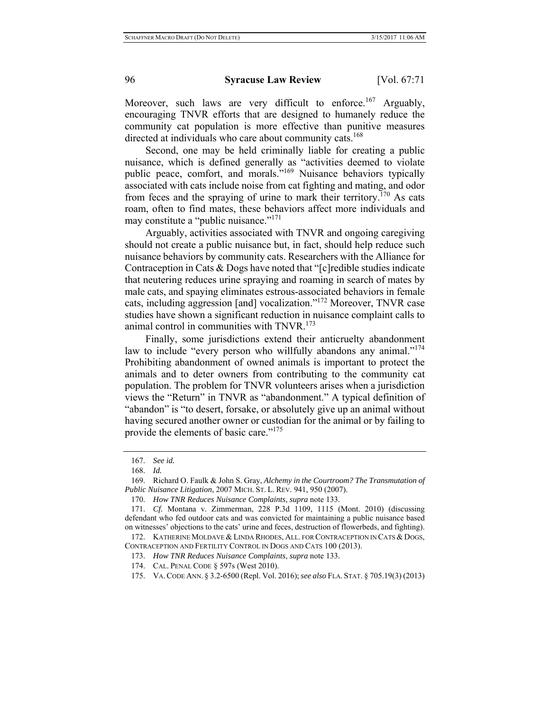Moreover, such laws are very difficult to enforce.<sup>167</sup> Arguably, encouraging TNVR efforts that are designed to humanely reduce the community cat population is more effective than punitive measures directed at individuals who care about community cats.<sup>168</sup>

Second, one may be held criminally liable for creating a public nuisance, which is defined generally as "activities deemed to violate public peace, comfort, and morals."<sup>169</sup> Nuisance behaviors typically associated with cats include noise from cat fighting and mating, and odor from feces and the spraying of urine to mark their territory.<sup>170</sup> As cats roam, often to find mates, these behaviors affect more individuals and may constitute a "public nuisance."<sup>171</sup>

Arguably, activities associated with TNVR and ongoing caregiving should not create a public nuisance but, in fact, should help reduce such nuisance behaviors by community cats. Researchers with the Alliance for Contraception in Cats & Dogs have noted that "[c]redible studies indicate that neutering reduces urine spraying and roaming in search of mates by male cats, and spaying eliminates estrous-associated behaviors in female cats, including aggression [and] vocalization."172 Moreover, TNVR case studies have shown a significant reduction in nuisance complaint calls to animal control in communities with  $TNVR$ <sup> $173$ </sup>

Finally, some jurisdictions extend their anticruelty abandonment law to include "every person who willfully abandons any animal."<sup>174</sup> Prohibiting abandonment of owned animals is important to protect the animals and to deter owners from contributing to the community cat population. The problem for TNVR volunteers arises when a jurisdiction views the "Return" in TNVR as "abandonment." A typical definition of "abandon" is "to desert, forsake, or absolutely give up an animal without having secured another owner or custodian for the animal or by failing to provide the elements of basic care."175

<sup>167.</sup> *See id.*

<sup>168.</sup> *Id.*

<sup>169.</sup> Richard O. Faulk & John S. Gray, *Alchemy in the Courtroom? The Transmutation of Public Nuisance Litigation*, 2007 MICH. ST. L. REV. 941, 950 (2007).

<sup>170.</sup> *How TNR Reduces Nuisance Complaints*, *supra* note 133.

<sup>171.</sup> *Cf.* Montana v. Zimmerman, 228 P.3d 1109, 1115 (Mont. 2010) (discussing defendant who fed outdoor cats and was convicted for maintaining a public nuisance based on witnesses' objections to the cats' urine and feces, destruction of flowerbeds, and fighting).

<sup>172.</sup> KATHERINE MOLDAVE & LINDA RHODES, ALL. FOR CONTRACEPTION IN CATS & DOGS, CONTRACEPTION AND FERTILITY CONTROL IN DOGS AND CATS 100 (2013).

<sup>173.</sup> *How TNR Reduces Nuisance Complaints*, *supra* note 133.

<sup>174.</sup> CAL. PENAL CODE § 597s (West 2010).

<sup>175.</sup> VA.CODE ANN. § 3.2-6500 (Repl. Vol. 2016); *see also* FLA. STAT. § 705.19(3) (2013)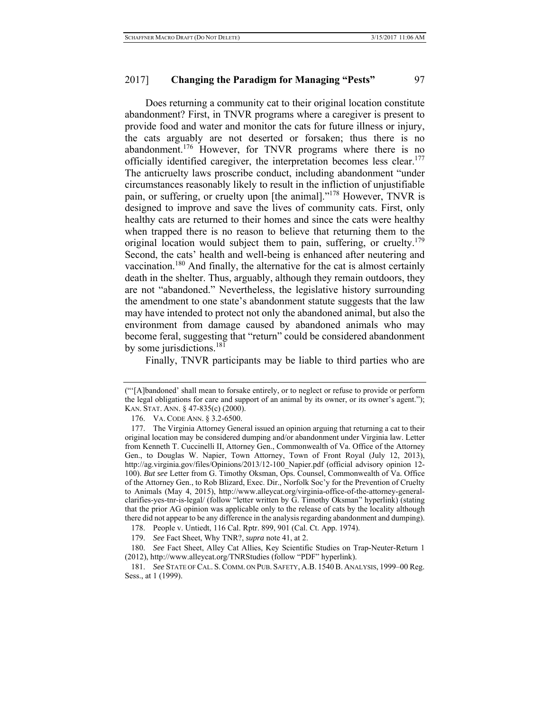### 2017] **Changing the Paradigm for Managing "Pests"** 97

Does returning a community cat to their original location constitute abandonment? First, in TNVR programs where a caregiver is present to provide food and water and monitor the cats for future illness or injury, the cats arguably are not deserted or forsaken; thus there is no abandonment.<sup>176</sup> However, for TNVR programs where there is no officially identified caregiver, the interpretation becomes less clear.<sup>177</sup> The anticruelty laws proscribe conduct, including abandonment "under circumstances reasonably likely to result in the infliction of unjustifiable pain, or suffering, or cruelty upon [the animal]."178 However, TNVR is designed to improve and save the lives of community cats. First, only healthy cats are returned to their homes and since the cats were healthy when trapped there is no reason to believe that returning them to the original location would subject them to pain, suffering, or cruelty.<sup>179</sup> Second, the cats' health and well-being is enhanced after neutering and vaccination.180 And finally, the alternative for the cat is almost certainly death in the shelter. Thus, arguably, although they remain outdoors, they are not "abandoned." Nevertheless, the legislative history surrounding the amendment to one state's abandonment statute suggests that the law may have intended to protect not only the abandoned animal, but also the environment from damage caused by abandoned animals who may become feral, suggesting that "return" could be considered abandonment by some jurisdictions.<sup>181</sup>

Finally, TNVR participants may be liable to third parties who are

176. VA. CODE ANN. § 3.2-6500.

178. People v. Untiedt, 116 Cal. Rptr. 899, 901 (Cal. Ct. App. 1974).

179. *See* Fact Sheet, Why TNR?, *supra* note 41, at 2.

180. *See* Fact Sheet, Alley Cat Allies, Key Scientific Studies on Trap-Neuter-Return 1 (2012), http://www.alleycat.org/TNRStudies (follow "PDF" hyperlink).

181. *See* STATE OF CAL. S.COMM. ON PUB. SAFETY, A.B. 1540B. ANALYSIS, 1999–00 Reg. Sess., at 1 (1999).

<sup>(&</sup>quot;'[A]bandoned' shall mean to forsake entirely, or to neglect or refuse to provide or perform the legal obligations for care and support of an animal by its owner, or its owner's agent."); KAN. STAT. ANN. § 47-835(c) (2000).

<sup>177.</sup> The Virginia Attorney General issued an opinion arguing that returning a cat to their original location may be considered dumping and/or abandonment under Virginia law. Letter from Kenneth T. Cuccinelli II, Attorney Gen., Commonwealth of Va. Office of the Attorney Gen., to Douglas W. Napier, Town Attorney, Town of Front Royal (July 12, 2013), http://ag.virginia.gov/files/Opinions/2013/12-100\_Napier.pdf (official advisory opinion 12- 100). *But see* Letter from G. Timothy Oksman, Ops. Counsel, Commonwealth of Va. Office of the Attorney Gen., to Rob Blizard, Exec. Dir., Norfolk Soc'y for the Prevention of Cruelty to Animals (May 4, 2015), http://www.alleycat.org/virginia-office-of-the-attorney-generalclarifies-yes-tnr-is-legal/ (follow "letter written by G. Timothy Oksman" hyperlink) (stating that the prior AG opinion was applicable only to the release of cats by the locality although there did not appear to be any difference in the analysis regarding abandonment and dumping).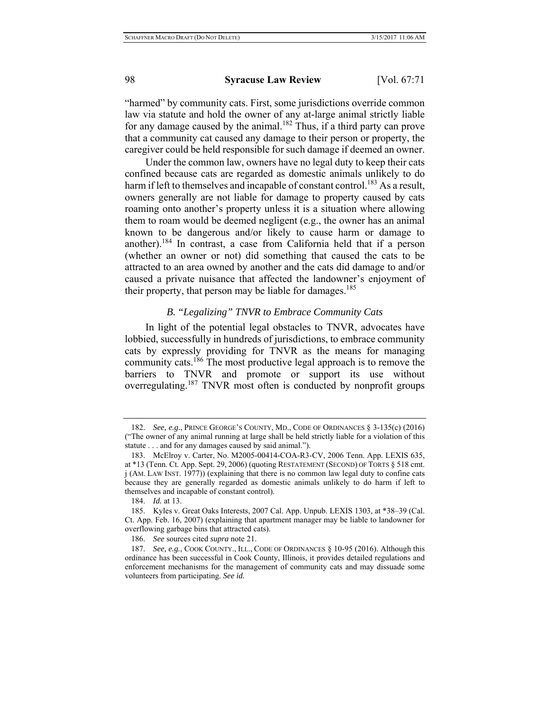### 98 **Syracuse Law Review** [Vol. 67:71

"harmed" by community cats. First, some jurisdictions override common law via statute and hold the owner of any at-large animal strictly liable for any damage caused by the animal.<sup>182</sup> Thus, if a third party can prove that a community cat caused any damage to their person or property, the caregiver could be held responsible for such damage if deemed an owner.

Under the common law, owners have no legal duty to keep their cats confined because cats are regarded as domestic animals unlikely to do harm if left to themselves and incapable of constant control.<sup>183</sup> As a result, owners generally are not liable for damage to property caused by cats roaming onto another's property unless it is a situation where allowing them to roam would be deemed negligent (e.g., the owner has an animal known to be dangerous and/or likely to cause harm or damage to another).184 In contrast, a case from California held that if a person (whether an owner or not) did something that caused the cats to be attracted to an area owned by another and the cats did damage to and/or caused a private nuisance that affected the landowner's enjoyment of their property, that person may be liable for damages.<sup>185</sup>

# *B. "Legalizing" TNVR to Embrace Community Cats*

In light of the potential legal obstacles to TNVR, advocates have lobbied, successfully in hundreds of jurisdictions, to embrace community cats by expressly providing for TNVR as the means for managing community cats.<sup>186</sup> The most productive legal approach is to remove the barriers to TNVR and promote or support its use without overregulating.187 TNVR most often is conducted by nonprofit groups

<sup>182.</sup> *See, e.g.*, PRINCE GEORGE'S COUNTY, MD., CODE OF ORDINANCES § 3-135(c) (2016) ("The owner of any animal running at large shall be held strictly liable for a violation of this statute . . . and for any damages caused by said animal.").

<sup>183.</sup> McElroy v. Carter, No. M2005-00414-COA-R3-CV, 2006 Tenn. App. LEXIS 635, at \*13 (Tenn. Ct. App. Sept. 29, 2006) (quoting RESTATEMENT (SECOND) OF TORTS § 518 cmt. j (AM. LAW INST. 1977)) (explaining that there is no common law legal duty to confine cats because they are generally regarded as domestic animals unlikely to do harm if left to themselves and incapable of constant control).

<sup>184.</sup> *Id.* at 13.

<sup>185.</sup> Kyles v. Great Oaks Interests, 2007 Cal. App. Unpub. LEXIS 1303, at \*38–39 (Cal. Ct. App. Feb. 16, 2007) (explaining that apartment manager may be liable to landowner for overflowing garbage bins that attracted cats).

<sup>186.</sup> *See* sources cited *supra* note 21.

<sup>187.</sup> *See, e.g.*, COOK COUNTY., ILL., CODE OF ORDINANCES § 10-95 (2016). Although this ordinance has been successful in Cook County, Illinois, it provides detailed regulations and enforcement mechanisms for the management of community cats and may dissuade some volunteers from participating. *See id.*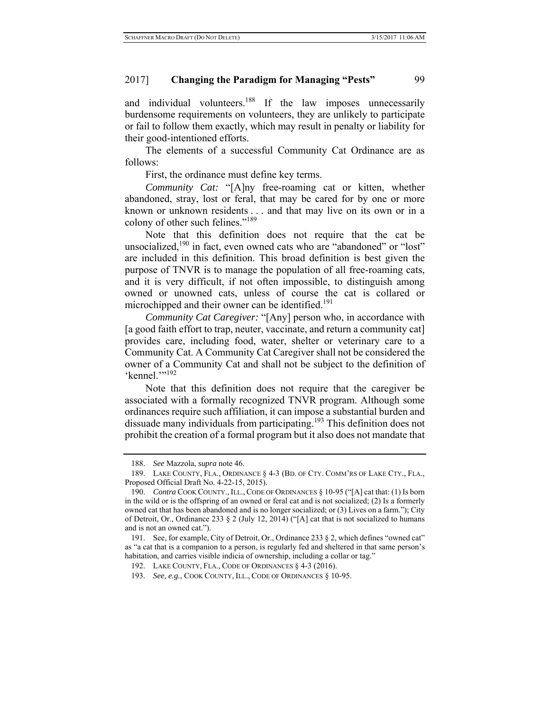and individual volunteers.<sup>188</sup> If the law imposes unnecessarily burdensome requirements on volunteers, they are unlikely to participate or fail to follow them exactly, which may result in penalty or liability for their good-intentioned efforts.

The elements of a successful Community Cat Ordinance are as follows:

First, the ordinance must define key terms.

*Community Cat:* "[A]ny free-roaming cat or kitten, whether abandoned, stray, lost or feral, that may be cared for by one or more known or unknown residents . . . and that may live on its own or in a colony of other such felines."189

Note that this definition does not require that the cat be unsocialized, $190$  in fact, even owned cats who are "abandoned" or "lost" are included in this definition. This broad definition is best given the purpose of TNVR is to manage the population of all free-roaming cats, and it is very difficult, if not often impossible, to distinguish among owned or unowned cats, unless of course the cat is collared or microchipped and their owner can be identified.<sup>191</sup>

*Community Cat Caregiver:* "[Any] person who, in accordance with [a good faith effort to trap, neuter, vaccinate, and return a community cat] provides care, including food, water, shelter or veterinary care to a Community Cat. A Community Cat Caregiver shall not be considered the owner of a Community Cat and shall not be subject to the definition of 'kennel.'"<sup>192</sup>

Note that this definition does not require that the caregiver be associated with a formally recognized TNVR program. Although some ordinances require such affiliation, it can impose a substantial burden and dissuade many individuals from participating.<sup>193</sup> This definition does not prohibit the creation of a formal program but it also does not mandate that

<sup>188.</sup> *See* Mazzola, *supra* note 46.

<sup>189.</sup> LAKE COUNTY, FLA., ORDINANCE § 4-3 (BD. OF CTY. COMM'RS OF LAKE CTY., FLA., Proposed Official Draft No. 4-22-15, 2015).

<sup>190.</sup> *Contra* COOK COUNTY.,ILL.,CODE OF ORDINANCES § 10-95 ("[A] cat that: (1) Is born in the wild or is the offspring of an owned or feral cat and is not socialized; (2) Is a formerly owned cat that has been abandoned and is no longer socialized; or (3) Lives on a farm."); City of Detroit, Or., Ordinance 233  $\S 2$  (July 12, 2014) ("[A] cat that is not socialized to humans and is not an owned cat.").

<sup>191.</sup> See, for example, City of Detroit, Or., Ordinance 233 § 2, which defines "owned cat" as "a cat that is a companion to a person, is regularly fed and sheltered in that same person's habitation, and carries visible indicia of ownership, including a collar or tag."

<sup>192.</sup> LAKE COUNTY, FLA., CODE OF ORDINANCES § 4-3 (2016).

<sup>193.</sup> *See, e.g.*, COOK COUNTY, ILL., CODE OF ORDINANCES § 10-95.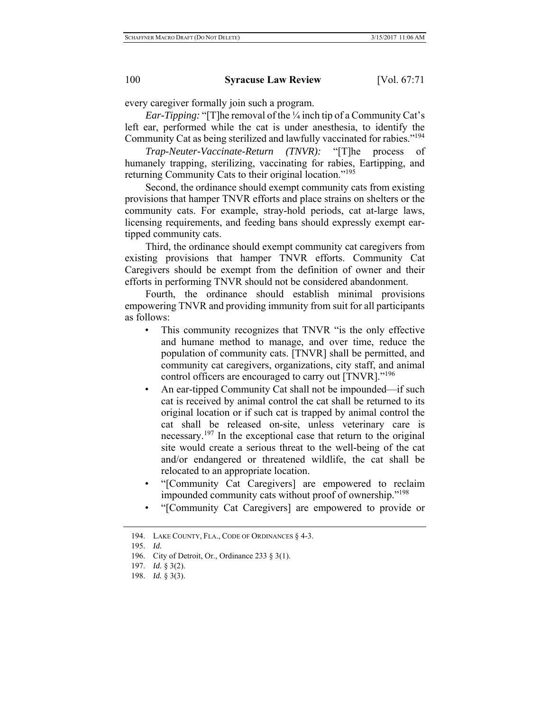every caregiver formally join such a program.

*Ear-Tipping:* "[T]he removal of the ¼ inch tip of a Community Cat's left ear, performed while the cat is under anesthesia, to identify the Community Cat as being sterilized and lawfully vaccinated for rabies."194

*Trap-Neuter-Vaccinate-Return (TNVR):* "[T]he process of humanely trapping, sterilizing, vaccinating for rabies, Eartipping, and returning Community Cats to their original location."<sup>195</sup>

Second, the ordinance should exempt community cats from existing provisions that hamper TNVR efforts and place strains on shelters or the community cats. For example, stray-hold periods, cat at-large laws, licensing requirements, and feeding bans should expressly exempt eartipped community cats.

Third, the ordinance should exempt community cat caregivers from existing provisions that hamper TNVR efforts. Community Cat Caregivers should be exempt from the definition of owner and their efforts in performing TNVR should not be considered abandonment.

Fourth, the ordinance should establish minimal provisions empowering TNVR and providing immunity from suit for all participants as follows:

- This community recognizes that TNVR "is the only effective and humane method to manage, and over time, reduce the population of community cats. [TNVR] shall be permitted, and community cat caregivers, organizations, city staff, and animal control officers are encouraged to carry out [TNVR]."<sup>196</sup>
- An ear-tipped Community Cat shall not be impounded—if such cat is received by animal control the cat shall be returned to its original location or if such cat is trapped by animal control the cat shall be released on-site, unless veterinary care is necessary.<sup>197</sup> In the exceptional case that return to the original site would create a serious threat to the well-being of the cat and/or endangered or threatened wildlife, the cat shall be relocated to an appropriate location.
- "[Community Cat Caregivers] are empowered to reclaim impounded community cats without proof of ownership."198
- "[Community Cat Caregivers] are empowered to provide or

<sup>194.</sup> LAKE COUNTY, FLA., CODE OF ORDINANCES § 4-3.

<sup>195.</sup> *Id.*

<sup>196.</sup> City of Detroit, Or., Ordinance 233 § 3(1).

<sup>197.</sup> *Id.* § 3(2).

<sup>198.</sup> *Id.* § 3(3).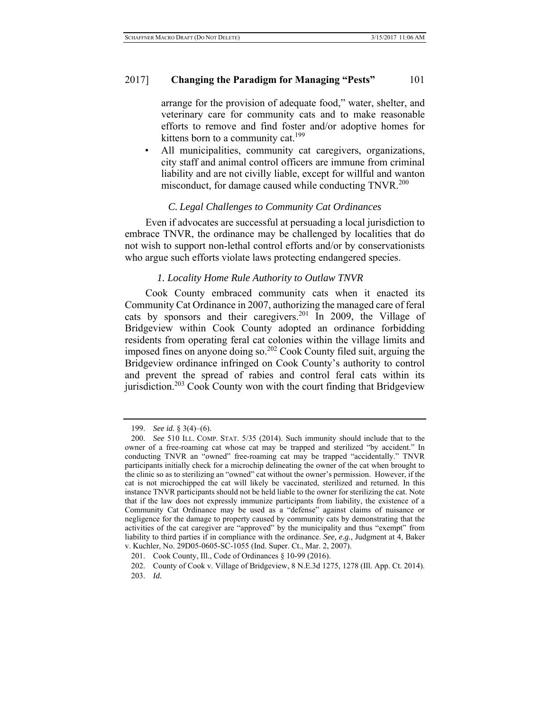# 2017] **Changing the Paradigm for Managing "Pests"** 101

arrange for the provision of adequate food," water, shelter, and veterinary care for community cats and to make reasonable efforts to remove and find foster and/or adoptive homes for kittens born to a community cat. $199$ 

• All municipalities, community cat caregivers, organizations, city staff and animal control officers are immune from criminal liability and are not civilly liable, except for willful and wanton misconduct, for damage caused while conducting TNVR.<sup>200</sup>

# *C. Legal Challenges to Community Cat Ordinances*

Even if advocates are successful at persuading a local jurisdiction to embrace TNVR, the ordinance may be challenged by localities that do not wish to support non-lethal control efforts and/or by conservationists who argue such efforts violate laws protecting endangered species.

#### *1. Locality Home Rule Authority to Outlaw TNVR*

Cook County embraced community cats when it enacted its Community Cat Ordinance in 2007, authorizing the managed care of feral cats by sponsors and their caregivers.201 In 2009, the Village of Bridgeview within Cook County adopted an ordinance forbidding residents from operating feral cat colonies within the village limits and imposed fines on anyone doing so.202 Cook County filed suit, arguing the Bridgeview ordinance infringed on Cook County's authority to control and prevent the spread of rabies and control feral cats within its jurisdiction.<sup>203</sup> Cook County won with the court finding that Bridgeview

<sup>199.</sup> *See id.* § 3(4)–(6).

<sup>200.</sup> *See* 510 ILL. COMP. STAT. 5/35 (2014). Such immunity should include that to the owner of a free-roaming cat whose cat may be trapped and sterilized "by accident." In conducting TNVR an "owned" free-roaming cat may be trapped "accidentally." TNVR participants initially check for a microchip delineating the owner of the cat when brought to the clinic so as to sterilizing an "owned" cat without the owner's permission. However, if the cat is not microchipped the cat will likely be vaccinated, sterilized and returned. In this instance TNVR participants should not be held liable to the owner for sterilizing the cat. Note that if the law does not expressly immunize participants from liability, the existence of a Community Cat Ordinance may be used as a "defense" against claims of nuisance or negligence for the damage to property caused by community cats by demonstrating that the activities of the cat caregiver are "approved" by the municipality and thus "exempt" from liability to third parties if in compliance with the ordinance. *See, e.g.*, Judgment at 4, Baker v. Kuchler, No. 29D05-0605-SC-1055 (Ind. Super. Ct., Mar. 2, 2007).

<sup>201.</sup> Cook County, Ill., Code of Ordinances § 10-99 (2016).

<sup>202.</sup> County of Cook v. Village of Bridgeview, 8 N.E.3d 1275, 1278 (Ill. App. Ct. 2014). 203. *Id.*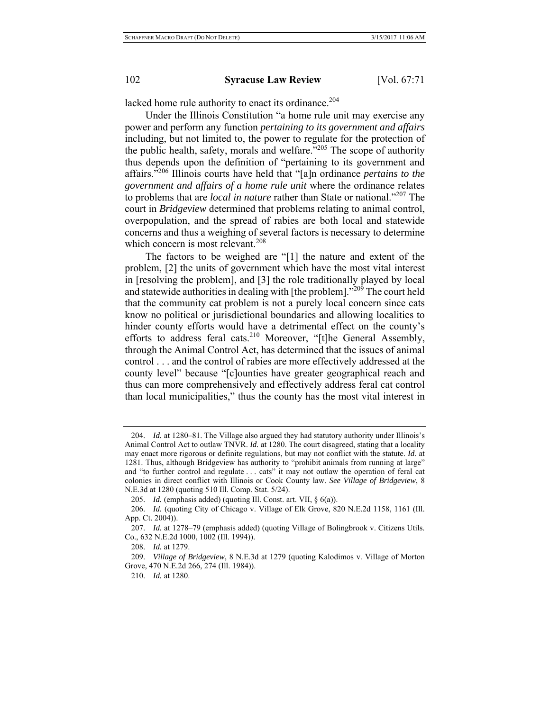lacked home rule authority to enact its ordinance.<sup>204</sup>

Under the Illinois Constitution "a home rule unit may exercise any power and perform any function *pertaining to its government and affairs* including, but not limited to, the power to regulate for the protection of the public health, safety, morals and welfare."205 The scope of authority thus depends upon the definition of "pertaining to its government and affairs."206 Illinois courts have held that "[a]n ordinance *pertains to the government and affairs of a home rule unit* where the ordinance relates to problems that are *local in nature* rather than State or national."207 The court in *Bridgeview* determined that problems relating to animal control, overpopulation, and the spread of rabies are both local and statewide concerns and thus a weighing of several factors is necessary to determine which concern is most relevant.<sup>208</sup>

The factors to be weighed are "[1] the nature and extent of the problem, [2] the units of government which have the most vital interest in [resolving the problem], and [3] the role traditionally played by local and statewide authorities in dealing with [the problem]."<sup>209</sup> The court held that the community cat problem is not a purely local concern since cats know no political or jurisdictional boundaries and allowing localities to hinder county efforts would have a detrimental effect on the county's efforts to address feral cats.<sup>210</sup> Moreover, "[t]he General Assembly, through the Animal Control Act, has determined that the issues of animal control . . . and the control of rabies are more effectively addressed at the county level" because "[c]ounties have greater geographical reach and thus can more comprehensively and effectively address feral cat control than local municipalities," thus the county has the most vital interest in

<sup>204.</sup> *Id.* at 1280–81. The Village also argued they had statutory authority under Illinois's Animal Control Act to outlaw TNVR. *Id.* at 1280. The court disagreed, stating that a locality may enact more rigorous or definite regulations, but may not conflict with the statute. *Id.* at 1281. Thus, although Bridgeview has authority to "prohibit animals from running at large" and "to further control and regulate . . . cats" it may not outlaw the operation of feral cat colonies in direct conflict with Illinois or Cook County law. *See Village of Bridgeview*, 8 N.E.3d at 1280 (quoting 510 Ill. Comp. Stat. 5/24).

<sup>205.</sup> *Id.* (emphasis added) (quoting Ill. Const. art. VII, § 6(a)).

<sup>206.</sup> *Id.* (quoting City of Chicago v. Village of Elk Grove, 820 N.E.2d 1158, 1161 (Ill. App. Ct. 2004)).

<sup>207.</sup> *Id.* at 1278–79 (emphasis added) (quoting Village of Bolingbrook v. Citizens Utils. Co., 632 N.E.2d 1000, 1002 (Ill. 1994)).

<sup>208.</sup> *Id.* at 1279.

<sup>209.</sup> *Village of Bridgeview*, 8 N.E.3d at 1279 (quoting Kalodimos v. Village of Morton Grove, 470 N.E.2d 266, 274 (Ill. 1984)).

<sup>210.</sup> *Id.* at 1280.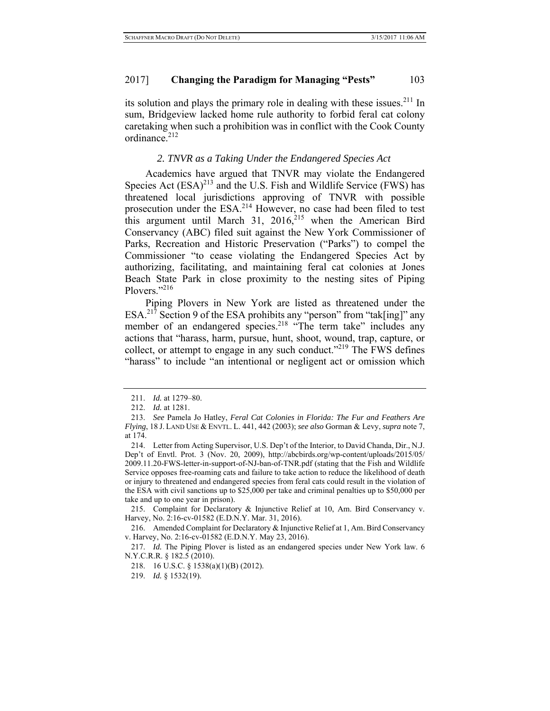its solution and plays the primary role in dealing with these issues.<sup>211</sup> In sum, Bridgeview lacked home rule authority to forbid feral cat colony caretaking when such a prohibition was in conflict with the Cook County ordinance.<sup>212</sup>

### *2. TNVR as a Taking Under the Endangered Species Act*

Academics have argued that TNVR may violate the Endangered Species Act  $(ESA)^{213}$  and the U.S. Fish and Wildlife Service (FWS) has threatened local jurisdictions approving of TNVR with possible prosecution under the ESA.<sup>214</sup> However, no case had been filed to test this argument until March 31,  $2016$ ,<sup>215</sup> when the American Bird Conservancy (ABC) filed suit against the New York Commissioner of Parks, Recreation and Historic Preservation ("Parks") to compel the Commissioner "to cease violating the Endangered Species Act by authorizing, facilitating, and maintaining feral cat colonies at Jones Beach State Park in close proximity to the nesting sites of Piping Plovers."<sup>216</sup>

Piping Plovers in New York are listed as threatened under the ESA.<sup>217</sup> Section 9 of the ESA prohibits any "person" from "tak[ing]" any member of an endangered species.<sup>218</sup> "The term take" includes any actions that "harass, harm, pursue, hunt, shoot, wound, trap, capture, or collect, or attempt to engage in any such conduct."219 The FWS defines "harass" to include "an intentional or negligent act or omission which

215. Complaint for Declaratory & Injunctive Relief at 10, Am. Bird Conservancy v. Harvey, No. 2:16-cv-01582 (E.D.N.Y. Mar. 31, 2016).

216. Amended Complaint for Declaratory & Injunctive Relief at 1, Am. Bird Conservancy v. Harvey, No. 2:16-cv-01582 (E.D.N.Y. May 23, 2016).

<sup>211.</sup> *Id.* at 1279–80.

<sup>212.</sup> *Id.* at 1281.

<sup>213.</sup> *See* Pamela Jo Hatley, *Feral Cat Colonies in Florida: The Fur and Feathers Are Flying*, 18 J. LAND USE & ENVTL. L. 441, 442 (2003); *see also* Gorman & Levy, *supra* note 7, at 174.

<sup>214.</sup> Letter from Acting Supervisor, U.S. Dep't of the Interior, to David Chanda, Dir., N.J. Dep't of Envtl. Prot. 3 (Nov. 20, 2009), http://abcbirds.org/wp-content/uploads/2015/05/ 2009.11.20-FWS-letter-in-support-of-NJ-ban-of-TNR.pdf (stating that the Fish and Wildlife Service opposes free-roaming cats and failure to take action to reduce the likelihood of death or injury to threatened and endangered species from feral cats could result in the violation of the ESA with civil sanctions up to \$25,000 per take and criminal penalties up to \$50,000 per take and up to one year in prison).

<sup>217.</sup> *Id.* The Piping Plover is listed as an endangered species under New York law. 6 N.Y.C.R.R. § 182.5 (2010).

<sup>218. 16</sup> U.S.C. § 1538(a)(1)(B) (2012).

<sup>219.</sup> *Id.* § 1532(19).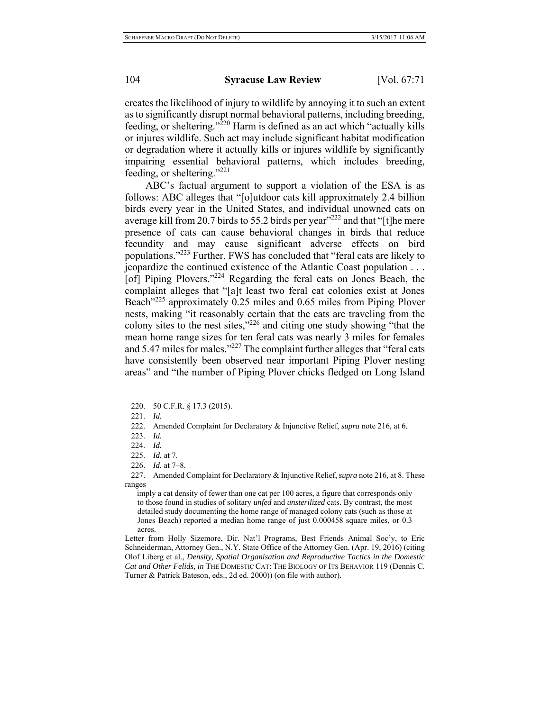creates the likelihood of injury to wildlife by annoying it to such an extent as to significantly disrupt normal behavioral patterns, including breeding, feeding, or sheltering." $^{220}$  Harm is defined as an act which "actually kills" or injures wildlife. Such act may include significant habitat modification or degradation where it actually kills or injures wildlife by significantly impairing essential behavioral patterns, which includes breeding, feeding, or sheltering."221

ABC's factual argument to support a violation of the ESA is as follows: ABC alleges that "[o]utdoor cats kill approximately 2.4 billion birds every year in the United States, and individual unowned cats on average kill from 20.7 birds to 55.2 birds per year<sup> $222$ </sup> and that "[t]he mere presence of cats can cause behavioral changes in birds that reduce fecundity and may cause significant adverse effects on bird populations."223 Further, FWS has concluded that "feral cats are likely to jeopardize the continued existence of the Atlantic Coast population . . . [of] Piping Plovers."224 Regarding the feral cats on Jones Beach, the complaint alleges that "[a]t least two feral cat colonies exist at Jones Beach<sup>1225</sup> approximately 0.25 miles and 0.65 miles from Piping Plover nests, making "it reasonably certain that the cats are traveling from the colony sites to the nest sites,"226 and citing one study showing "that the mean home range sizes for ten feral cats was nearly 3 miles for females and 5.47 miles for males."<sup>227</sup> The complaint further alleges that "feral cats" have consistently been observed near important Piping Plover nesting areas" and "the number of Piping Plover chicks fledged on Long Island

226. *Id.* at 7–8.

<sup>220. 50</sup> C.F.R. § 17.3 (2015).

<sup>221.</sup> *Id.*

<sup>222.</sup> Amended Complaint for Declaratory & Injunctive Relief, *supra* note 216, at 6.

<sup>223.</sup> *Id.*

<sup>224.</sup> *Id.*

<sup>225.</sup> *Id.* at 7.

<sup>227.</sup> Amended Complaint for Declaratory & Injunctive Relief, *supra* note 216, at 8. These ranges

imply a cat density of fewer than one cat per 100 acres, a figure that corresponds only to those found in studies of solitary *unfed* and *unsterilized* cats. By contrast, the most detailed study documenting the home range of managed colony cats (such as those at Jones Beach) reported a median home range of just 0.000458 square miles, or 0.3 acres.

Letter from Holly Sizemore, Dir. Nat'l Programs, Best Friends Animal Soc'y, to Eric Schneiderman, Attorney Gen., N.Y. State Office of the Attorney Gen. (Apr. 19, 2016) (citing Olof Liberg et al., *Density, Spatial Organisation and Reproductive Tactics in the Domestic Cat and Other Felids*, *in* THE DOMESTIC CAT: THE BIOLOGY OF ITS BEHAVIOR 119 (Dennis C. Turner & Patrick Bateson, eds., 2d ed. 2000)) (on file with author).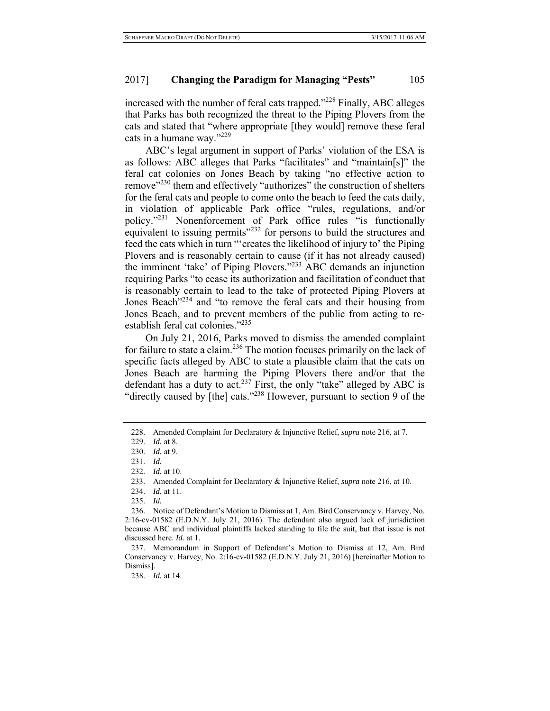increased with the number of feral cats trapped." $^{228}$  Finally, ABC alleges that Parks has both recognized the threat to the Piping Plovers from the cats and stated that "where appropriate [they would] remove these feral cats in a humane way."<sup>229</sup>

ABC's legal argument in support of Parks' violation of the ESA is as follows: ABC alleges that Parks "facilitates" and "maintain[s]" the feral cat colonies on Jones Beach by taking "no effective action to remove"<sup>230</sup> them and effectively "authorizes" the construction of shelters for the feral cats and people to come onto the beach to feed the cats daily, in violation of applicable Park office "rules, regulations, and/or policy."<sup>231</sup> Nonenforcement of Park office rules "is functionally equivalent to issuing permits"<sup>232</sup> for persons to build the structures and feed the cats which in turn "'creates the likelihood of injury to' the Piping Plovers and is reasonably certain to cause (if it has not already caused) the imminent 'take' of Piping Plovers."233 ABC demands an injunction requiring Parks "to cease its authorization and facilitation of conduct that is reasonably certain to lead to the take of protected Piping Plovers at Jones Beach<sup>"234</sup> and "to remove the feral cats and their housing from Jones Beach, and to prevent members of the public from acting to reestablish feral cat colonies."<sup>235</sup>

On July 21, 2016, Parks moved to dismiss the amended complaint for failure to state a claim.236 The motion focuses primarily on the lack of specific facts alleged by ABC to state a plausible claim that the cats on Jones Beach are harming the Piping Plovers there and/or that the defendant has a duty to act.<sup>237</sup> First, the only "take" alleged by ABC is "directly caused by [the] cats."238 However, pursuant to section 9 of the

232. *Id.* at 10.

234. *Id.* at 11.

<sup>228.</sup> Amended Complaint for Declaratory & Injunctive Relief, *supra* note 216, at 7.

<sup>229.</sup> *Id.* at 8.

<sup>230.</sup> *Id.* at 9.

<sup>231.</sup> *Id.*

<sup>233.</sup> Amended Complaint for Declaratory & Injunctive Relief, *supra* note 216, at 10.

<sup>235.</sup> *Id.*

<sup>236.</sup> Notice of Defendant's Motion to Dismiss at 1, Am. Bird Conservancy v. Harvey, No. 2:16-cv-01582 (E.D.N.Y. July 21, 2016). The defendant also argued lack of jurisdiction because ABC and individual plaintiffs lacked standing to file the suit, but that issue is not discussed here. *Id.* at 1.

<sup>237.</sup> Memorandum in Support of Defendant's Motion to Dismiss at 12, Am. Bird Conservancy v. Harvey, No. 2:16-cv-01582 (E.D.N.Y. July 21, 2016) [hereinafter Motion to Dismiss].

<sup>238.</sup> *Id.* at 14.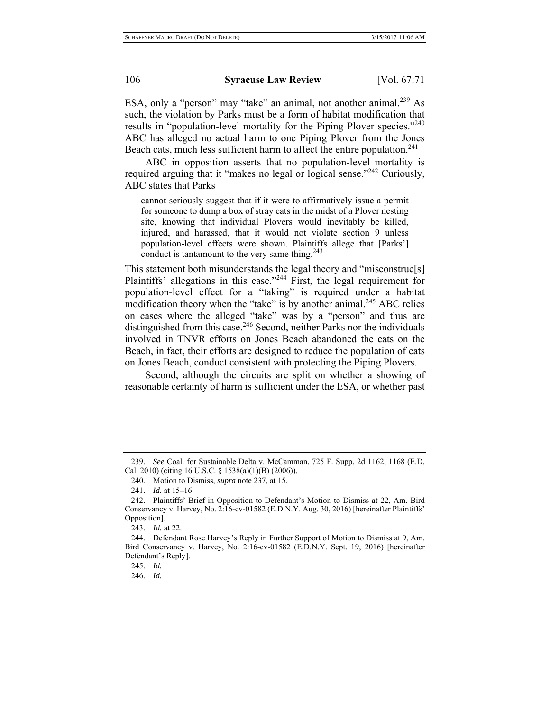ESA, only a "person" may "take" an animal, not another animal.<sup>239</sup> As such, the violation by Parks must be a form of habitat modification that results in "population-level mortality for the Piping Plover species."<sup>240</sup> ABC has alleged no actual harm to one Piping Plover from the Jones Beach cats, much less sufficient harm to affect the entire population.<sup>241</sup>

ABC in opposition asserts that no population-level mortality is required arguing that it "makes no legal or logical sense."<sup>242</sup> Curiously, ABC states that Parks

cannot seriously suggest that if it were to affirmatively issue a permit for someone to dump a box of stray cats in the midst of a Plover nesting site, knowing that individual Plovers would inevitably be killed, injured, and harassed, that it would not violate section 9 unless population-level effects were shown. Plaintiffs allege that [Parks'] conduct is tantamount to the very same thing. $243$ 

This statement both misunderstands the legal theory and "misconstrue[s] Plaintiffs' allegations in this case."<sup>244</sup> First, the legal requirement for population-level effect for a "taking" is required under a habitat modification theory when the "take" is by another animal.<sup>245</sup> ABC relies on cases where the alleged "take" was by a "person" and thus are distinguished from this case.<sup>246</sup> Second, neither Parks nor the individuals involved in TNVR efforts on Jones Beach abandoned the cats on the Beach, in fact, their efforts are designed to reduce the population of cats on Jones Beach, conduct consistent with protecting the Piping Plovers.

Second, although the circuits are split on whether a showing of reasonable certainty of harm is sufficient under the ESA, or whether past

<sup>239.</sup> *See* Coal. for Sustainable Delta v. McCamman, 725 F. Supp. 2d 1162, 1168 (E.D. Cal. 2010) (citing 16 U.S.C. § 1538(a)(1)(B) (2006)).

<sup>240.</sup> Motion to Dismiss, *supra* note 237, at 15.

<sup>241.</sup> *Id.* at 15–16.

<sup>242.</sup> Plaintiffs' Brief in Opposition to Defendant's Motion to Dismiss at 22, Am. Bird Conservancy v. Harvey, No. 2:16-cv-01582 (E.D.N.Y. Aug. 30, 2016) [hereinafter Plaintiffs' Opposition].

<sup>243.</sup> *Id.* at 22.

<sup>244.</sup> Defendant Rose Harvey's Reply in Further Support of Motion to Dismiss at 9, Am. Bird Conservancy v. Harvey, No. 2:16-cv-01582 (E.D.N.Y. Sept. 19, 2016) [hereinafter Defendant's Reply].

<sup>245.</sup> *Id.*

<sup>246.</sup> *Id.*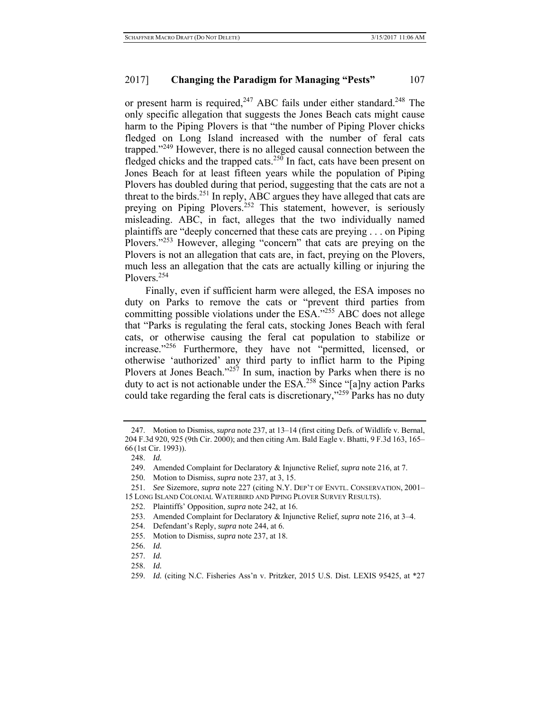or present harm is required,  $247$  ABC fails under either standard.  $248$  The only specific allegation that suggests the Jones Beach cats might cause harm to the Piping Plovers is that "the number of Piping Plover chicks fledged on Long Island increased with the number of feral cats trapped."<sup>249</sup> However, there is no alleged causal connection between the fledged chicks and the trapped cats.<sup>250</sup> In fact, cats have been present on Jones Beach for at least fifteen years while the population of Piping Plovers has doubled during that period, suggesting that the cats are not a threat to the birds.<sup>251</sup> In reply, ABC argues they have alleged that cats are preying on Piping Plovers.<sup>252</sup> This statement, however, is seriously misleading. ABC, in fact, alleges that the two individually named plaintiffs are "deeply concerned that these cats are preying . . . on Piping Plovers."<sup>253</sup> However, alleging "concern" that cats are preying on the Plovers is not an allegation that cats are, in fact, preying on the Plovers, much less an allegation that the cats are actually killing or injuring the Plovers.254

Finally, even if sufficient harm were alleged, the ESA imposes no duty on Parks to remove the cats or "prevent third parties from committing possible violations under the ESA."<sup>255</sup> ABC does not allege that "Parks is regulating the feral cats, stocking Jones Beach with feral cats, or otherwise causing the feral cat population to stabilize or increase."256 Furthermore, they have not "permitted, licensed, or otherwise 'authorized' any third party to inflict harm to the Piping Plovers at Jones Beach."<sup>257</sup> In sum, inaction by Parks when there is no duty to act is not actionable under the ESA.<sup>258</sup> Since "[a]ny action Parks could take regarding the feral cats is discretionary,"<sup>259</sup> Parks has no duty

248. *Id.*

250. Motion to Dismiss, *supra* note 237, at 3, 15.

- 254. Defendant's Reply, *supra* note 244, at 6.
- 255. Motion to Dismiss, *supra* note 237, at 18.
- 256. *Id.*
- 257. *Id.*
- 258. *Id.*

<sup>247.</sup> Motion to Dismiss, *supra* note 237, at 13–14 (first citing Defs. of Wildlife v. Bernal, 204 F.3d 920, 925 (9th Cir. 2000); and then citing Am. Bald Eagle v. Bhatti, 9 F.3d 163, 165– 66 (1st Cir. 1993)).

<sup>249.</sup> Amended Complaint for Declaratory & Injunctive Relief, *supra* note 216, at 7.

<sup>251.</sup> *See* Sizemore, *supra* note 227 (citing N.Y. DEP'T OF ENVTL. CONSERVATION, 2001–

<sup>15</sup> LONG ISLAND COLONIAL WATERBIRD AND PIPING PLOVER SURVEY RESULTS).

<sup>252.</sup> Plaintiffs' Opposition, *supra* note 242, at 16.

<sup>253.</sup> Amended Complaint for Declaratory & Injunctive Relief, *supra* note 216, at 3–4.

<sup>259.</sup> *Id.* (citing N.C. Fisheries Ass'n v. Pritzker, 2015 U.S. Dist. LEXIS 95425, at \*27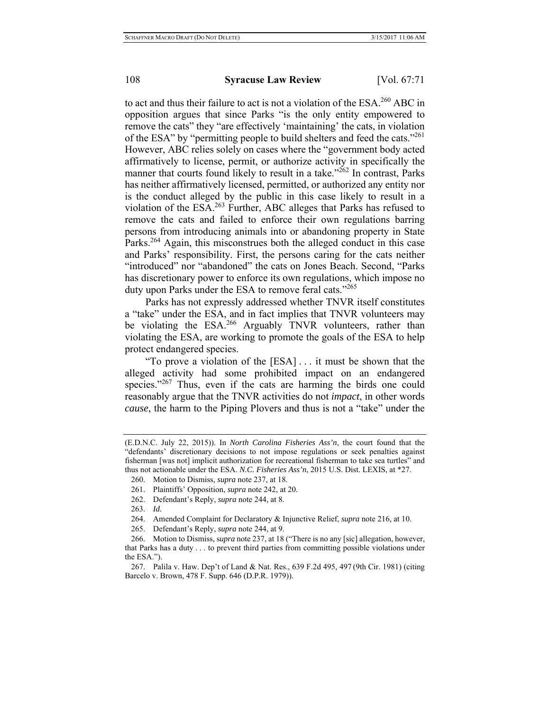to act and thus their failure to act is not a violation of the ESA.<sup>260</sup> ABC in opposition argues that since Parks "is the only entity empowered to remove the cats" they "are effectively 'maintaining' the cats, in violation of the ESA" by "permitting people to build shelters and feed the cats."<sup>261</sup> However, ABC relies solely on cases where the "government body acted affirmatively to license, permit, or authorize activity in specifically the manner that courts found likely to result in a take." $^{262}$  In contrast, Parks has neither affirmatively licensed, permitted, or authorized any entity nor is the conduct alleged by the public in this case likely to result in a violation of the ESA.263 Further, ABC alleges that Parks has refused to remove the cats and failed to enforce their own regulations barring persons from introducing animals into or abandoning property in State Parks.<sup>264</sup> Again, this misconstrues both the alleged conduct in this case and Parks' responsibility. First, the persons caring for the cats neither "introduced" nor "abandoned" the cats on Jones Beach. Second, "Parks has discretionary power to enforce its own regulations, which impose no duty upon Parks under the ESA to remove feral cats."<sup>265</sup>

Parks has not expressly addressed whether TNVR itself constitutes a "take" under the ESA, and in fact implies that TNVR volunteers may be violating the ESA.<sup>266</sup> Arguably TNVR volunteers, rather than violating the ESA, are working to promote the goals of the ESA to help protect endangered species.

"To prove a violation of the [ESA] . . . it must be shown that the alleged activity had some prohibited impact on an endangered species."<sup>267</sup> Thus, even if the cats are harming the birds one could reasonably argue that the TNVR activities do not *impact*, in other words *cause*, the harm to the Piping Plovers and thus is not a "take" under the

265. Defendant's Reply, *supra* note 244, at 9.

<sup>(</sup>E.D.N.C. July 22, 2015)). In *North Carolina Fisheries Ass'n*, the court found that the "defendants' discretionary decisions to not impose regulations or seek penalties against fisherman [was not] implicit authorization for recreational fisherman to take sea turtles" and thus not actionable under the ESA. *N.C. Fisheries Ass'n*, 2015 U.S. Dist. LEXIS, at \*27.

<sup>260.</sup> Motion to Dismiss, *supra* note 237, at 18.

<sup>261.</sup> Plaintiffs' Opposition, *supra* note 242, at 20.

<sup>262.</sup> Defendant's Reply, *supra* note 244, at 8.

<sup>263.</sup> *Id.*

<sup>264.</sup> Amended Complaint for Declaratory & Injunctive Relief, *supra* note 216, at 10.

<sup>266.</sup> Motion to Dismiss, s*upra* note 237, at 18 ("There is no any [sic] allegation, however, that Parks has a duty . . . to prevent third parties from committing possible violations under the ESA.").

<sup>267.</sup> Palila v. Haw. Dep't of Land & Nat. Res., 639 F.2d 495, 497 (9th Cir. 1981) (citing Barcelo v. Brown, 478 F. Supp. 646 (D.P.R. 1979)).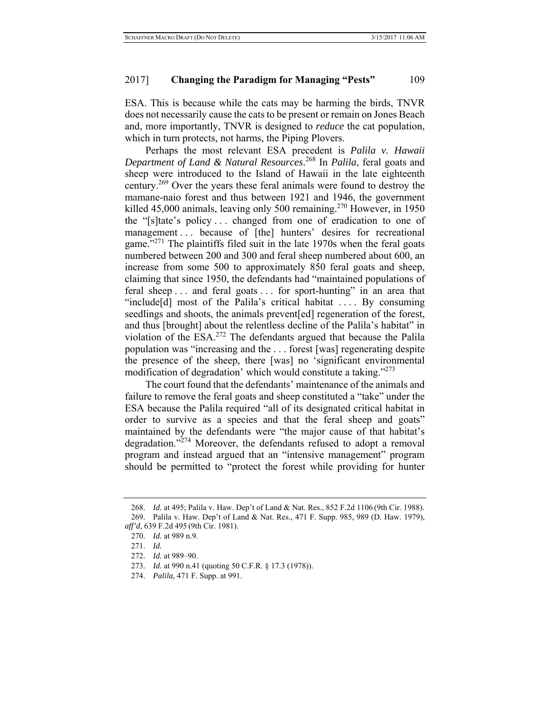ESA. This is because while the cats may be harming the birds, TNVR does not necessarily cause the cats to be present or remain on Jones Beach and, more importantly, TNVR is designed to *reduce* the cat population, which in turn protects, not harms, the Piping Plovers.

Perhaps the most relevant ESA precedent is *Palila v. Hawaii Department of Land & Natural Resources*. 268 In *Palila*, feral goats and sheep were introduced to the Island of Hawaii in the late eighteenth century.269 Over the years these feral animals were found to destroy the mamane-naio forest and thus between 1921 and 1946, the government killed 45,000 animals, leaving only 500 remaining.<sup>270</sup> However, in 1950 the "[s]tate's policy . . . changed from one of eradication to one of management ... because of [the] hunters' desires for recreational game."<sup>271</sup> The plaintiffs filed suit in the late 1970s when the feral goats numbered between 200 and 300 and feral sheep numbered about 600, an increase from some 500 to approximately 850 feral goats and sheep, claiming that since 1950, the defendants had "maintained populations of feral sheep . . . and feral goats . . . for sport-hunting" in an area that "include $[d]$  most of the Palila's critical habitat .... By consuming seedlings and shoots, the animals prevent[ed] regeneration of the forest, and thus [brought] about the relentless decline of the Palila's habitat" in violation of the ESA.272 The defendants argued that because the Palila population was "increasing and the . . . forest [was] regenerating despite the presence of the sheep, there [was] no 'significant environmental modification of degradation' which would constitute a taking."273

The court found that the defendants' maintenance of the animals and failure to remove the feral goats and sheep constituted a "take" under the ESA because the Palila required "all of its designated critical habitat in order to survive as a species and that the feral sheep and goats" maintained by the defendants were "the major cause of that habitat's degradation."<sup>274</sup> Moreover, the defendants refused to adopt a removal program and instead argued that an "intensive management" program should be permitted to "protect the forest while providing for hunter

<sup>268.</sup> *Id.* at 495; Palila v. Haw. Dep't of Land & Nat. Res., 852 F.2d 1106 (9th Cir. 1988). 269. Palila v. Haw. Dep't of Land & Nat. Res., 471 F. Supp. 985, 989 (D. Haw. 1979), *aff'd*, 639 F.2d 495 (9th Cir. 1981).

<sup>270.</sup> *Id.* at 989 n.9.

<sup>271.</sup> *Id.*

<sup>272.</sup> *Id.* at 989–90.

<sup>273.</sup> *Id.* at 990 n.41 (quoting 50 C.F.R. § 17.3 (1978)).

<sup>274.</sup> *Palila*, 471 F. Supp. at 991.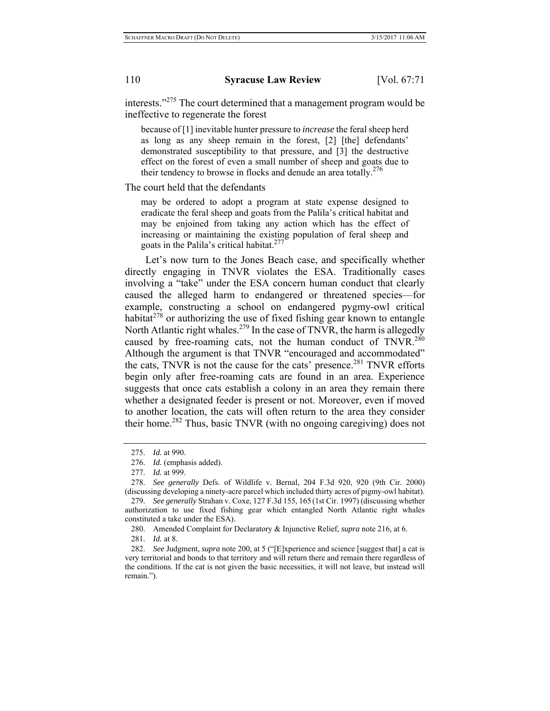interests."275 The court determined that a management program would be ineffective to regenerate the forest

because of [1] inevitable hunter pressure to *increase* the feral sheep herd as long as any sheep remain in the forest, [2] [the] defendants' demonstrated susceptibility to that pressure, and [3] the destructive effect on the forest of even a small number of sheep and goats due to their tendency to browse in flocks and denude an area totally.<sup>276</sup>

The court held that the defendants

may be ordered to adopt a program at state expense designed to eradicate the feral sheep and goats from the Palila's critical habitat and may be enjoined from taking any action which has the effect of increasing or maintaining the existing population of feral sheep and goats in the Palila's critical habitat.<sup>277</sup>

Let's now turn to the Jones Beach case, and specifically whether directly engaging in TNVR violates the ESA. Traditionally cases involving a "take" under the ESA concern human conduct that clearly caused the alleged harm to endangered or threatened species—for example, constructing a school on endangered pygmy-owl critical habitat $278$  or authorizing the use of fixed fishing gear known to entangle North Atlantic right whales.<sup>279</sup> In the case of TNVR, the harm is allegedly caused by free-roaming cats, not the human conduct of TNVR.<sup>280</sup> Although the argument is that TNVR "encouraged and accommodated" the cats, TNVR is not the cause for the cats' presence.<sup>281</sup> TNVR efforts begin only after free-roaming cats are found in an area. Experience suggests that once cats establish a colony in an area they remain there whether a designated feeder is present or not. Moreover, even if moved to another location, the cats will often return to the area they consider their home.282 Thus, basic TNVR (with no ongoing caregiving) does not

280. Amended Complaint for Declaratory & Injunctive Relief, *supra* note 216, at 6.

281. *Id.* at 8.

282. *See* Judgment, *supra* note 200, at 5 ("[E]xperience and science [suggest that] a cat is very territorial and bonds to that territory and will return there and remain there regardless of the conditions. If the cat is not given the basic necessities, it will not leave, but instead will remain.").

<sup>275.</sup> *Id.* at 990.

<sup>276.</sup> *Id.* (emphasis added).

<sup>277.</sup> *Id.* at 999.

<sup>278.</sup> *See generally* Defs. of Wildlife v. Bernal, 204 F.3d 920, 920 (9th Cir. 2000) (discussing developing a ninety-acre parcel which included thirty acres of pigmy-owl habitat).

<sup>279.</sup> *See generally* Strahan v. Coxe, 127 F.3d 155, 165 (1st Cir. 1997) (discussing whether authorization to use fixed fishing gear which entangled North Atlantic right whales constituted a take under the ESA).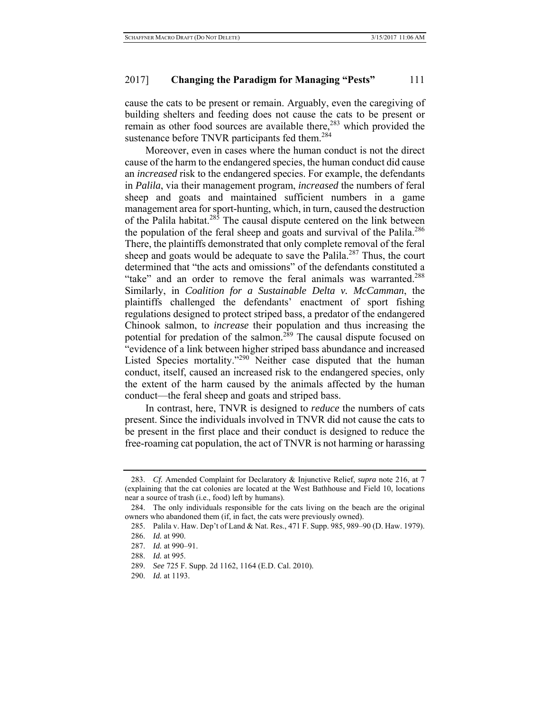cause the cats to be present or remain. Arguably, even the caregiving of building shelters and feeding does not cause the cats to be present or remain as other food sources are available there,<sup>283</sup> which provided the sustenance before TNVR participants fed them.<sup>284</sup>

Moreover, even in cases where the human conduct is not the direct cause of the harm to the endangered species, the human conduct did cause an *increased* risk to the endangered species. For example, the defendants in *Palila*, via their management program, *increased* the numbers of feral sheep and goats and maintained sufficient numbers in a game management area for sport-hunting, which, in turn, caused the destruction of the Palila habitat.<sup>285</sup> The causal dispute centered on the link between the population of the feral sheep and goats and survival of the Palila.<sup>286</sup> There, the plaintiffs demonstrated that only complete removal of the feral sheep and goats would be adequate to save the Palila.<sup>287</sup> Thus, the court determined that "the acts and omissions" of the defendants constituted a "take" and an order to remove the feral animals was warranted.<sup>288</sup> Similarly, in *Coalition for a Sustainable Delta v. McCamman*, the plaintiffs challenged the defendants' enactment of sport fishing regulations designed to protect striped bass, a predator of the endangered Chinook salmon, to *increase* their population and thus increasing the potential for predation of the salmon.<sup>289</sup> The causal dispute focused on "evidence of a link between higher striped bass abundance and increased Listed Species mortality."<sup>290</sup> Neither case disputed that the human conduct, itself, caused an increased risk to the endangered species, only the extent of the harm caused by the animals affected by the human conduct—the feral sheep and goats and striped bass.

In contrast, here, TNVR is designed to *reduce* the numbers of cats present. Since the individuals involved in TNVR did not cause the cats to be present in the first place and their conduct is designed to reduce the free-roaming cat population, the act of TNVR is not harming or harassing

<sup>283.</sup> *Cf.* Amended Complaint for Declaratory & Injunctive Relief, *supra* note 216, at 7 (explaining that the cat colonies are located at the West Bathhouse and Field 10, locations near a source of trash (i.e., food) left by humans).

<sup>284.</sup> The only individuals responsible for the cats living on the beach are the original owners who abandoned them (if, in fact, the cats were previously owned).

<sup>285.</sup> Palila v. Haw. Dep't of Land & Nat. Res., 471 F. Supp. 985, 989–90 (D. Haw. 1979).

<sup>286.</sup> *Id.* at 990.

<sup>287.</sup> *Id.* at 990–91.

<sup>288.</sup> *Id.* at 995.

<sup>289.</sup> *See* 725 F. Supp. 2d 1162, 1164 (E.D. Cal. 2010).

<sup>290.</sup> *Id.* at 1193.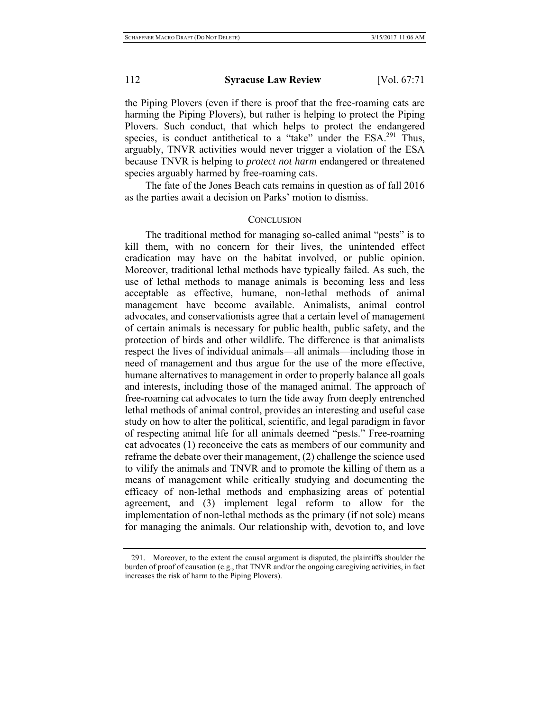the Piping Plovers (even if there is proof that the free-roaming cats are harming the Piping Plovers), but rather is helping to protect the Piping Plovers. Such conduct, that which helps to protect the endangered species, is conduct antithetical to a "take" under the ESA.<sup>291</sup> Thus, arguably, TNVR activities would never trigger a violation of the ESA because TNVR is helping to *protect not harm* endangered or threatened species arguably harmed by free-roaming cats.

The fate of the Jones Beach cats remains in question as of fall 2016 as the parties await a decision on Parks' motion to dismiss.

#### **CONCLUSION**

The traditional method for managing so-called animal "pests" is to kill them, with no concern for their lives, the unintended effect eradication may have on the habitat involved, or public opinion. Moreover, traditional lethal methods have typically failed. As such, the use of lethal methods to manage animals is becoming less and less acceptable as effective, humane, non-lethal methods of animal management have become available. Animalists, animal control advocates, and conservationists agree that a certain level of management of certain animals is necessary for public health, public safety, and the protection of birds and other wildlife. The difference is that animalists respect the lives of individual animals—all animals—including those in need of management and thus argue for the use of the more effective, humane alternatives to management in order to properly balance all goals and interests, including those of the managed animal. The approach of free-roaming cat advocates to turn the tide away from deeply entrenched lethal methods of animal control, provides an interesting and useful case study on how to alter the political, scientific, and legal paradigm in favor of respecting animal life for all animals deemed "pests." Free-roaming cat advocates (1) reconceive the cats as members of our community and reframe the debate over their management, (2) challenge the science used to vilify the animals and TNVR and to promote the killing of them as a means of management while critically studying and documenting the efficacy of non-lethal methods and emphasizing areas of potential agreement, and (3) implement legal reform to allow for the implementation of non-lethal methods as the primary (if not sole) means for managing the animals. Our relationship with, devotion to, and love

<sup>291.</sup> Moreover, to the extent the causal argument is disputed, the plaintiffs shoulder the burden of proof of causation (e.g., that TNVR and/or the ongoing caregiving activities, in fact increases the risk of harm to the Piping Plovers).